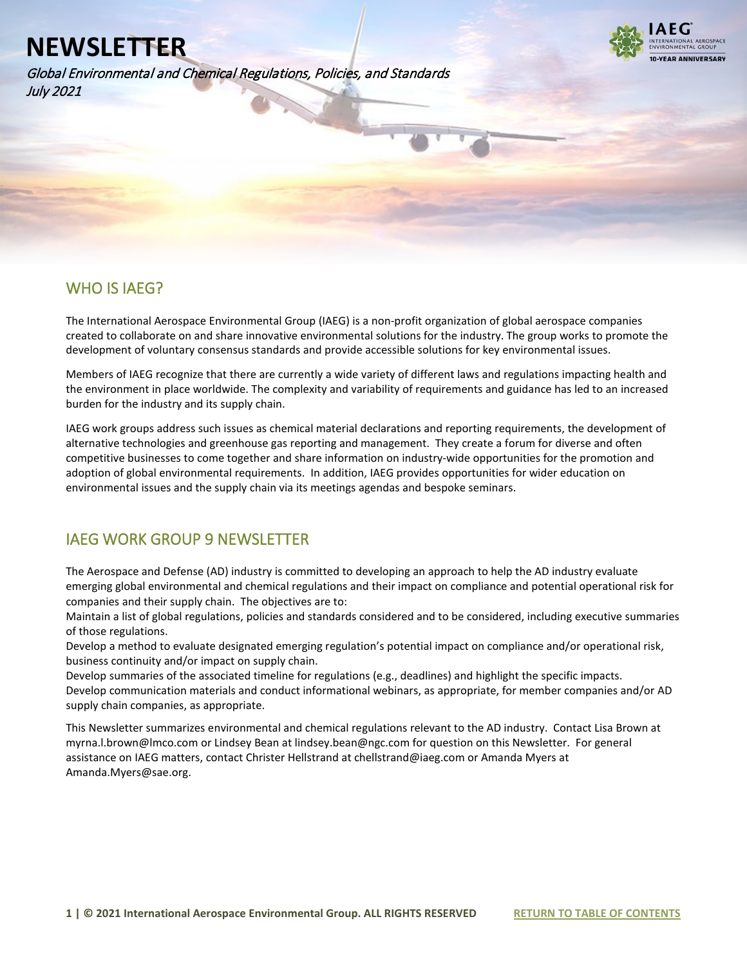Global Environmental and Chemical Regulations, Policies, and Standards July 2021



### WHO IS IAEG?

l

The International Aerospace Environmental Group (IAEG) is a non-profit organization of global aerospace companies created to collaborate on and share innovative environmental solutions for the industry. The group works to promote the development of voluntary consensus standards and provide accessible solutions for key environmental issues.

Members of IAEG recognize that there are currently a wide variety of different laws and regulations impacting health and the environment in place worldwide. The complexity and variability of requirements and guidance has led to an increased burden for the industry and its supply chain.

IAEG work groups address such issues as chemical material declarations and reporting requirements, the development of alternative technologies and greenhouse gas reporting and management. They create a forum for diverse and often competitive businesses to come together and share information on industry-wide opportunities for the promotion and adoption of global environmental requirements. In addition, IAEG provides opportunities for wider education on environmental issues and the supply chain via its meetings agendas and bespoke seminars.

### IAEG WORK GROUP 9 NEWSLETTER

The Aerospace and Defense (AD) industry is committed to developing an approach to help the AD industry evaluate emerging global environmental and chemical regulations and their impact on compliance and potential operational risk for companies and their supply chain. The objectives are to:

Maintain a list of global regulations, policies and standards considered and to be considered, including executive summaries of those regulations.

Develop a method to evaluate designated emerging regulation's potential impact on compliance and/or operational risk, business continuity and/or impact on supply chain.

Develop summaries of the associated timeline for regulations (e.g., deadlines) and highlight the specific impacts. Develop communication materials and conduct informational webinars, as appropriate, for member companies and/or AD supply chain companies, as appropriate.

This Newsletter summarizes environmental and chemical regulations relevant to the AD industry. Contact Lisa Brown at myrna.l.brown@lmco.com or Lindsey Bean at lindsey.bean@ngc.com for question on this Newsletter. For general assistance on IAEG matters, contact Christer Hellstrand at chellstrand@iaeg.com or Amanda Myers at Amanda.Myers@sae.org.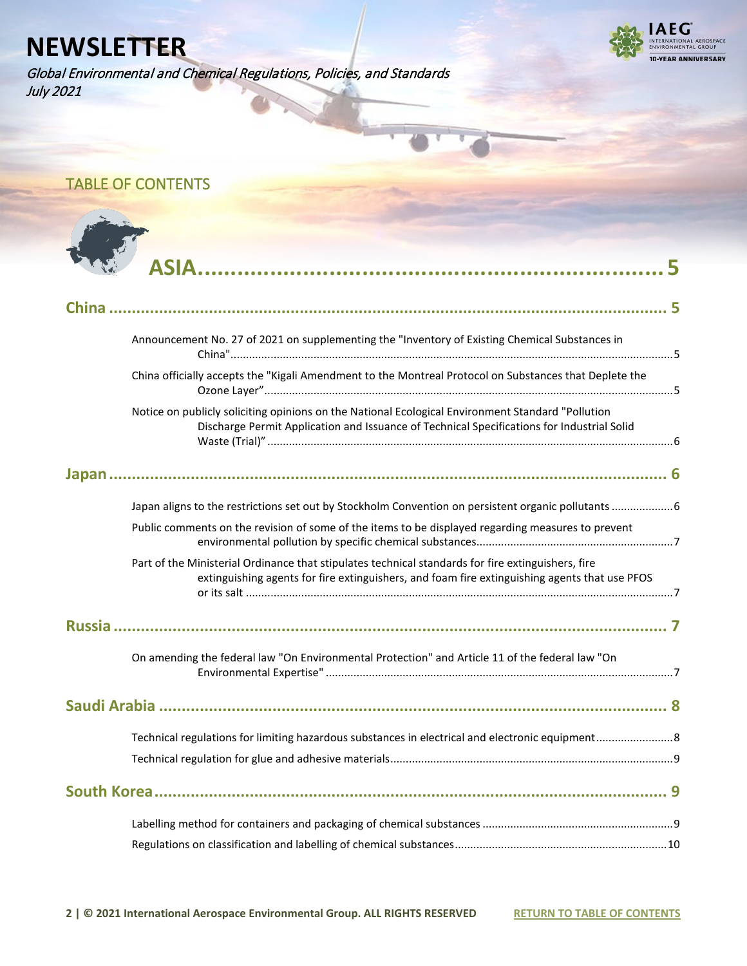Global Environmental and Chemical Regulations, Policies, and Standards July 2021



<span id="page-1-0"></span>TABLE OF CONTENTS



| Announcement No. 27 of 2021 on supplementing the "Inventory of Existing Chemical Substances in                                                                                                      |  |
|-----------------------------------------------------------------------------------------------------------------------------------------------------------------------------------------------------|--|
| China officially accepts the "Kigali Amendment to the Montreal Protocol on Substances that Deplete the                                                                                              |  |
| Notice on publicly soliciting opinions on the National Ecological Environment Standard "Pollution<br>Discharge Permit Application and Issuance of Technical Specifications for Industrial Solid     |  |
|                                                                                                                                                                                                     |  |
| Japan aligns to the restrictions set out by Stockholm Convention on persistent organic pollutants  6                                                                                                |  |
| Public comments on the revision of some of the items to be displayed regarding measures to prevent                                                                                                  |  |
| Part of the Ministerial Ordinance that stipulates technical standards for fire extinguishers, fire<br>extinguishing agents for fire extinguishers, and foam fire extinguishing agents that use PFOS |  |
|                                                                                                                                                                                                     |  |
| On amending the federal law "On Environmental Protection" and Article 11 of the federal law "On                                                                                                     |  |
|                                                                                                                                                                                                     |  |
|                                                                                                                                                                                                     |  |
|                                                                                                                                                                                                     |  |
|                                                                                                                                                                                                     |  |
|                                                                                                                                                                                                     |  |
|                                                                                                                                                                                                     |  |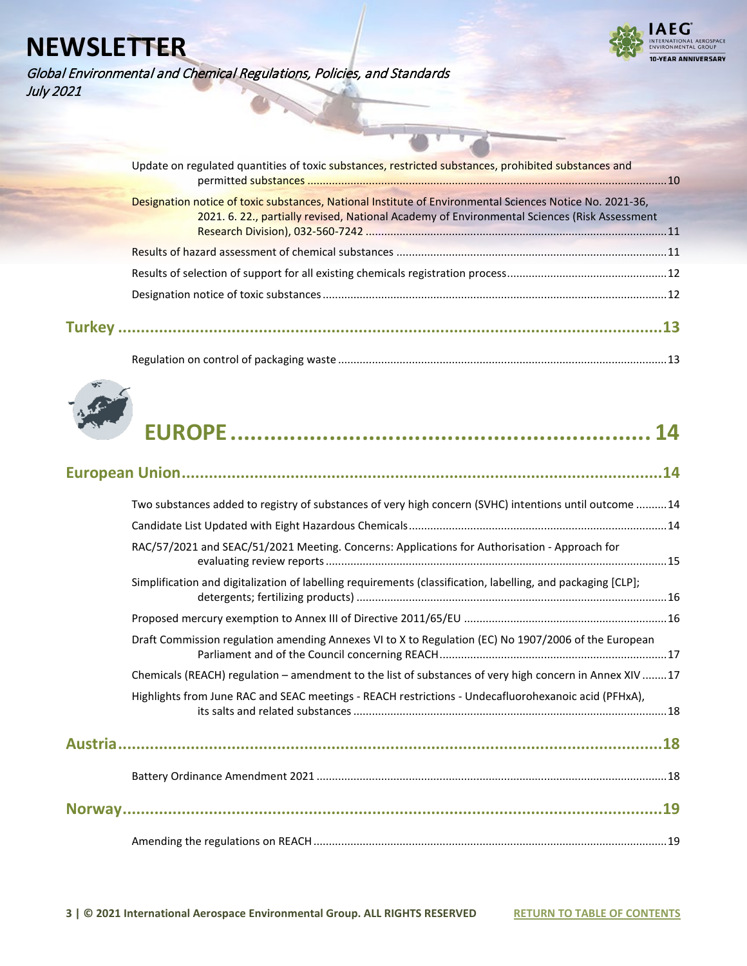Global Environmental and Chemical Regulations, Policies, and Standards July 2021



| Update on regulated quantities of toxic substances, restricted substances, prohibited substances and     |  |
|----------------------------------------------------------------------------------------------------------|--|
|                                                                                                          |  |
| Designation notice of toxic substances, National Institute of Environmental Sciences Notice No. 2021-36, |  |
| 2021. 6. 22., partially revised, National Academy of Environmental Sciences (Risk Assessment             |  |
|                                                                                                          |  |
|                                                                                                          |  |
|                                                                                                          |  |
|                                                                                                          |  |
|                                                                                                          |  |
|                                                                                                          |  |



|--|--|--|--|

|--|--|

| Two substances added to registry of substances of very high concern (SVHC) intentions until outcome 14       |  |
|--------------------------------------------------------------------------------------------------------------|--|
|                                                                                                              |  |
| RAC/57/2021 and SEAC/51/2021 Meeting. Concerns: Applications for Authorisation - Approach for                |  |
| Simplification and digitalization of labelling requirements (classification, labelling, and packaging [CLP]; |  |
|                                                                                                              |  |
| Draft Commission regulation amending Annexes VI to X to Regulation (EC) No 1907/2006 of the European         |  |
| Chemicals (REACH) regulation - amendment to the list of substances of very high concern in Annex XIV 17      |  |
| Highlights from June RAC and SEAC meetings - REACH restrictions - Undecafluorohexanoic acid (PFHxA),         |  |
|                                                                                                              |  |
|                                                                                                              |  |
|                                                                                                              |  |
|                                                                                                              |  |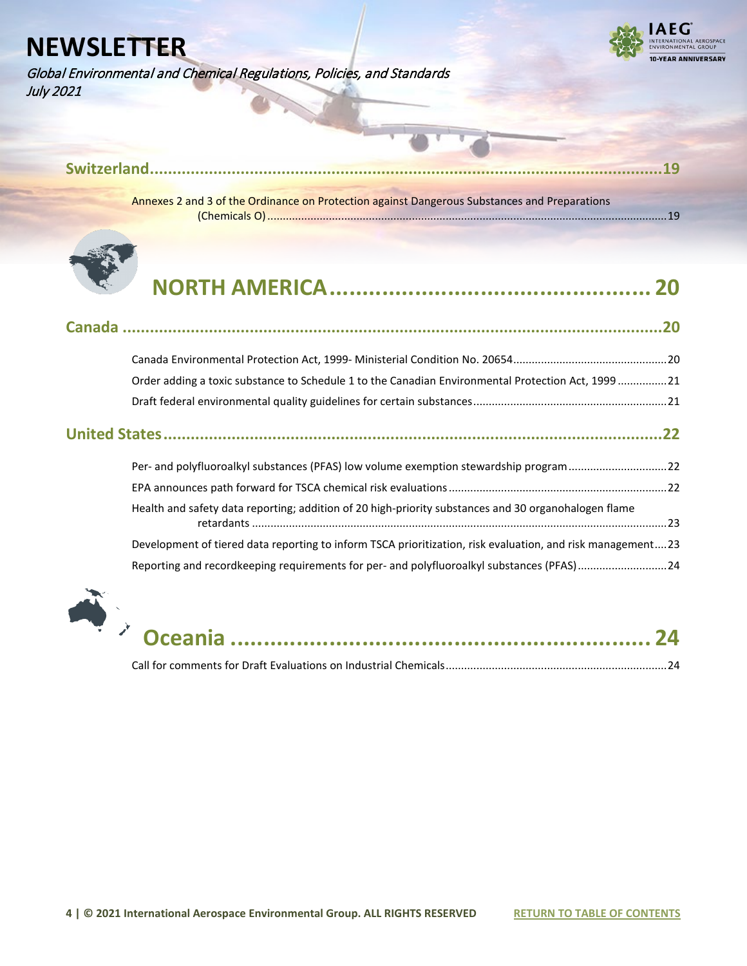Global Environmental and Chemical Regulations, Policies, and Standards July 2021



| Annexes 2 and 3 of the Ordinance on Protection against Dangerous Substances and Preparations |  |
|----------------------------------------------------------------------------------------------|--|
|                                                                                              |  |



## **[NORTH AMERICA.................................................](#page-19-0) [20](#page-19-0)**

| Order adding a toxic substance to Schedule 1 to the Canadian Environmental Protection Act, 199921          |  |
|------------------------------------------------------------------------------------------------------------|--|
|                                                                                                            |  |
|                                                                                                            |  |
| Per- and polyfluoroalkyl substances (PFAS) low volume exemption stewardship program22                      |  |
|                                                                                                            |  |
| Health and safety data reporting; addition of 20 high-priority substances and 30 organohalogen flame       |  |
| Development of tiered data reporting to inform TSCA prioritization, risk evaluation, and risk management23 |  |
| Reporting and recordkeeping requirements for per- and polyfluoroalkyl substances (PFAS)24                  |  |



|--|--|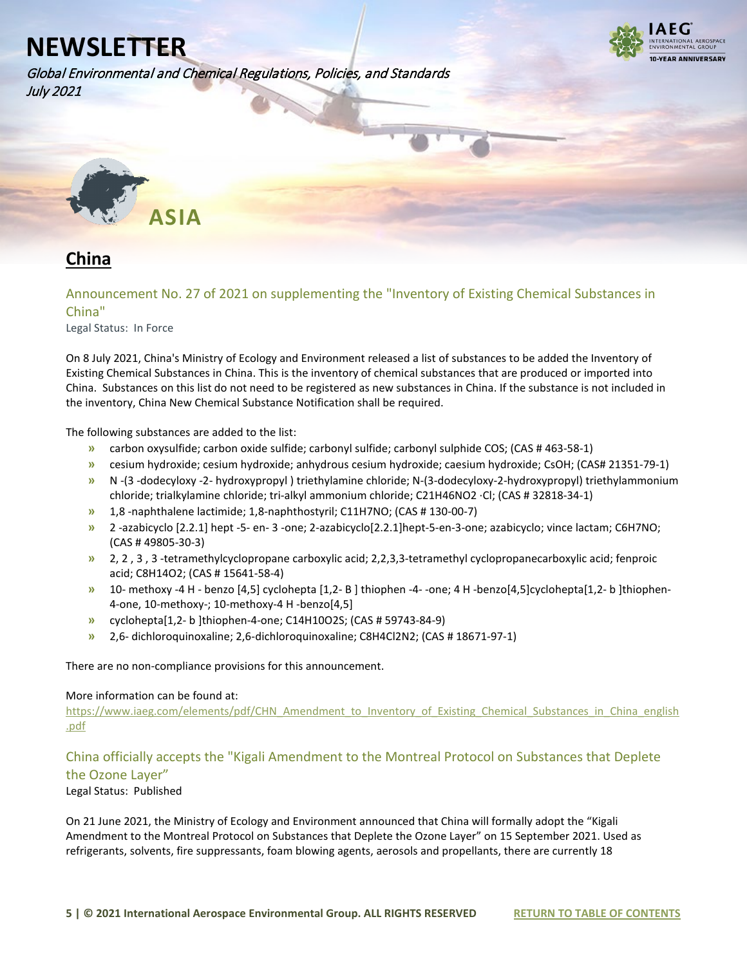Global Environmental and Chemical Regulations, Policies, and Standards July 2021



<span id="page-4-0"></span>

## <span id="page-4-1"></span>**China**

<span id="page-4-2"></span>Announcement No. 27 of 2021 on supplementing the "Inventory of Existing Chemical Substances in China"

Legal Status: In Force

On 8 July 2021, China's Ministry of Ecology and Environment released a list of substances to be added the Inventory of Existing Chemical Substances in China. This is the inventory of chemical substances that are produced or imported into China. Substances on this list do not need to be registered as new substances in China. If the substance is not included in the inventory, China New Chemical Substance Notification shall be required.

The following substances are added to the list:

- **»** carbon oxysulfide; carbon oxide sulfide; carbonyl sulfide; carbonyl sulphide COS; (CAS # 463-58-1)
- **»** cesium hydroxide; cesium hydroxide; anhydrous cesium hydroxide; caesium hydroxide; CsOH; (CAS# 21351-79-1)
- **»** N -(3 -dodecyloxy -2- hydroxypropyl ) triethylamine chloride; N-(3-dodecyloxy-2-hydroxypropyl) triethylammonium chloride; trialkylamine chloride; tri-alkyl ammonium chloride; C21H46NO2 ·Cl; (CAS # 32818-34-1)
- **»** 1,8 -naphthalene lactimide; 1,8-naphthostyril; C11H7NO; (CAS # 130-00-7)
- **»** 2 -azabicyclo [2.2.1] hept -5- en- 3 -one; 2-azabicyclo[2.2.1]hept-5-en-3-one; azabicyclo; vince lactam; C6H7NO; (CAS # 49805-30-3)
- **»** 2, 2 , 3 , 3 -tetramethylcyclopropane carboxylic acid; 2,2,3,3-tetramethyl cyclopropanecarboxylic acid; fenproic acid; C8H14O2; (CAS # 15641-58-4)
- **»** 10- methoxy -4 H benzo [4,5] cyclohepta [1,2- B ] thiophen -4- -one; 4 H -benzo[4,5]cyclohepta[1,2- b ]thiophen-4-one, 10-methoxy-; 10-methoxy-4 H -benzo[4,5]
- **»** cyclohepta[1,2- b ]thiophen-4-one; C14H10O2S; (CAS # 59743-84-9)
- **»** 2,6- dichloroquinoxaline; 2,6-dichloroquinoxaline; C8H4Cl2N2; (CAS # 18671-97-1)

There are no non-compliance provisions for this announcement.

#### More information can be found at:

[https://www.iaeg.com/elements/pdf/CHN\\_Amendment\\_to\\_Inventory\\_of\\_Existing\\_Chemical\\_Substances\\_in\\_China\\_english](https://www.iaeg.com/elements/pdf/CHN_Amendment_to_Inventory_of_Existing_Chemical_Substances_in_China_english.pdf) [.pdf](https://www.iaeg.com/elements/pdf/CHN_Amendment_to_Inventory_of_Existing_Chemical_Substances_in_China_english.pdf)

### <span id="page-4-3"></span>China officially accepts the "Kigali Amendment to the Montreal Protocol on Substances that Deplete the Ozone Layer"

#### Legal Status: Published

On 21 June 2021, the Ministry of Ecology and Environment announced that China will formally adopt the "Kigali Amendment to the Montreal Protocol on Substances that Deplete the Ozone Layer" on 15 September 2021. Used as refrigerants, solvents, fire suppressants, foam blowing agents, aerosols and propellants, there are currently 18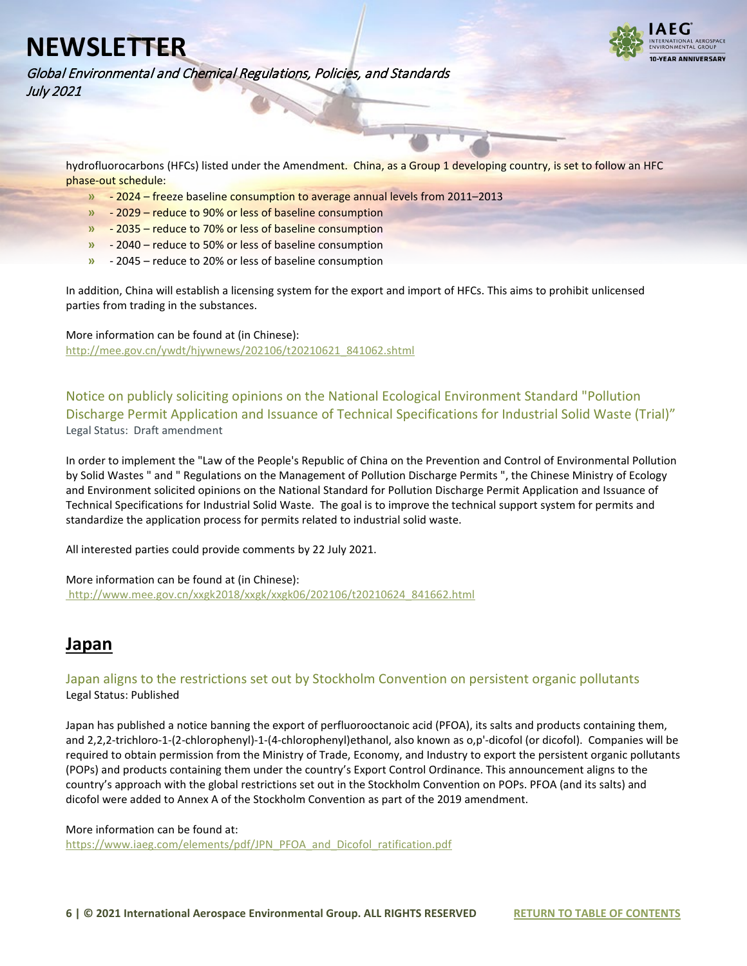

Global Environmental and Chemical Regulations, Policies, and Standards July 2021

hydrofluorocarbons (HFCs) listed under the Amendment. China, as a Group 1 developing country, is set to follow an HFC phase-out schedule:

- **»** 2024 freeze baseline consumption to average annual levels from 2011–2013
- **»** 2029 reduce to 90% or less of baseline consumption
- **»** 2035 reduce to 70% or less of baseline consumption
- **»** 2040 reduce to 50% or less of baseline consumption
- **»** 2045 reduce to 20% or less of baseline consumption

In addition, China will establish a licensing system for the export and import of HFCs. This aims to prohibit unlicensed parties from trading in the substances.

More information can be found at (in Chinese): [http://mee.gov.cn/ywdt/hjywnews/202106/t20210621\\_841062.shtml](http://mee.gov.cn/ywdt/hjywnews/202106/t20210621_841062.shtml)

<span id="page-5-0"></span>Notice on publicly soliciting opinions on the National Ecological Environment Standard "Pollution Discharge Permit Application and Issuance of Technical Specifications for Industrial Solid Waste (Trial)" Legal Status: Draft amendment

In order to implement the "Law of the People's Republic of China on the Prevention and Control of Environmental Pollution by Solid Wastes " and " Regulations on the Management of Pollution Discharge Permits ", the Chinese Ministry of Ecology and Environment solicited opinions on the National Standard for Pollution Discharge Permit Application and Issuance of Technical Specifications for Industrial Solid Waste. The goal is to improve the technical support system for permits and standardize the application process for permits related to industrial solid waste.

All interested parties could provide comments by 22 July 2021.

More information can be found at (in Chinese):

[http://www.mee.gov.cn/xxgk2018/xxgk/xxgk06/202106/t20210624\\_841662.html](http://www.mee.gov.cn/xxgk2018/xxgk/xxgk06/202106/t20210624_841662.html)

### <span id="page-5-1"></span>**Japan**

#### <span id="page-5-2"></span>Japan aligns to the restrictions set out by Stockholm Convention on persistent organic pollutants Legal Status: Published

Japan has published a notice banning the export of perfluorooctanoic acid (PFOA), its salts and products containing them, and 2,2,2-trichloro-1-(2-chlorophenyl)-1-(4-chlorophenyl)ethanol, also known as o,p'-dicofol (or dicofol). Companies will be required to obtain permission from the Ministry of Trade, Economy, and Industry to export the persistent organic pollutants (POPs) and products containing them under the country's Export Control Ordinance. This announcement aligns to the country's approach with the global restrictions set out in the Stockholm Convention on POPs. PFOA (and its salts) and dicofol were added to Annex A of the Stockholm Convention as part of the 2019 amendment.

More information can be found at: [https://www.iaeg.com/elements/pdf/JPN\\_PFOA\\_and\\_Dicofol\\_ratification.pdf](https://www.iaeg.com/elements/pdf/JPN_PFOA_and_Dicofol_ratification.pdf)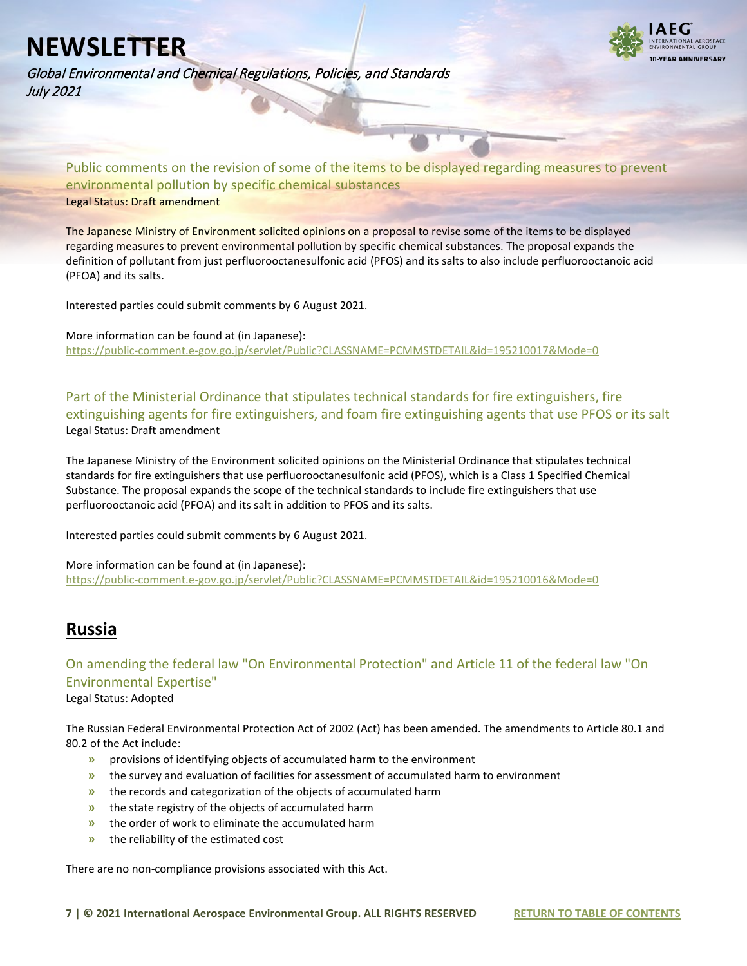Global Environmental and Chemical Regulations, Policies, and Standards July 2021



<span id="page-6-0"></span>Public comments on the revision of some of the items to be displayed regarding measures to prevent environmental pollution by specific chemical substances Legal Status: Draft amendment

The Japanese Ministry of Environment solicited opinions on a proposal to revise some of the items to be displayed regarding measures to prevent environmental pollution by specific chemical substances. The proposal expands the definition of pollutant from just perfluorooctanesulfonic acid (PFOS) and its salts to also include perfluorooctanoic acid (PFOA) and its salts.

Interested parties could submit comments by 6 August 2021.

More information can be found at (in Japanese): <https://public-comment.e-gov.go.jp/servlet/Public?CLASSNAME=PCMMSTDETAIL&id=195210017&Mode=0>

<span id="page-6-1"></span>Part of the Ministerial Ordinance that stipulates technical standards for fire extinguishers, fire extinguishing agents for fire extinguishers, and foam fire extinguishing agents that use PFOS or its salt Legal Status: Draft amendment

The Japanese Ministry of the Environment solicited opinions on the Ministerial Ordinance that stipulates technical standards for fire extinguishers that use perfluorooctanesulfonic acid (PFOS), which is a Class 1 Specified Chemical Substance. The proposal expands the scope of the technical standards to include fire extinguishers that use perfluorooctanoic acid (PFOA) and its salt in addition to PFOS and its salts.

Interested parties could submit comments by 6 August 2021.

More information can be found at (in Japanese): <https://public-comment.e-gov.go.jp/servlet/Public?CLASSNAME=PCMMSTDETAIL&id=195210016&Mode=0>

### <span id="page-6-2"></span>**Russia**

<span id="page-6-3"></span>On amending the federal law "On Environmental Protection" and Article 11 of the federal law "On Environmental Expertise" Legal Status: Adopted

The Russian Federal Environmental Protection Act of 2002 (Act) has been amended. The amendments to Article 80.1 and 80.2 of the Act include:

- **»** provisions of identifying objects of accumulated harm to the environment
- **»** the survey and evaluation of facilities for assessment of accumulated harm to environment
- **»** the records and categorization of the objects of accumulated harm
- **»** the state registry of the objects of accumulated harm
- **»** the order of work to eliminate the accumulated harm
- **»** the reliability of the estimated cost

There are no non-compliance provisions associated with this Act.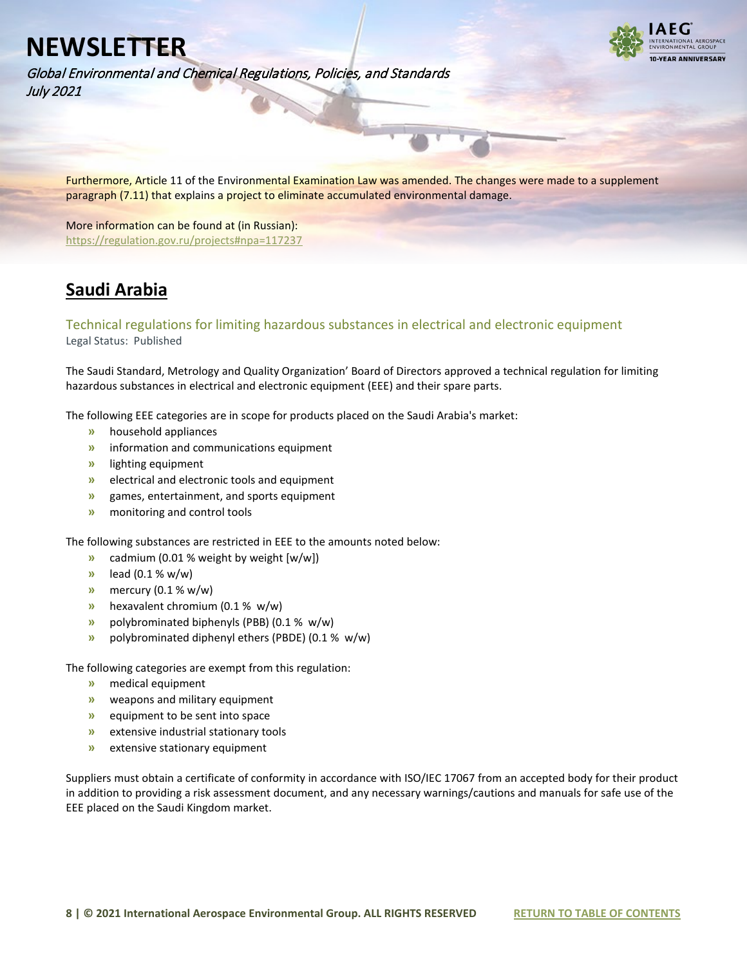Global Environmental and Chemical Regulations, Policies, and Standards July 2021



Furthermore, Article 11 of the Environmental Examination Law was amended. The changes were made to a supplement paragraph (7.11) that explains a project to eliminate accumulated environmental damage.

More information can be found at (in Russian): <https://regulation.gov.ru/projects#npa=117237>

## <span id="page-7-0"></span>**Saudi Arabia**

### <span id="page-7-1"></span>Technical regulations for limiting hazardous substances in electrical and electronic equipment Legal Status: Published

The Saudi Standard, Metrology and Quality Organization' Board of Directors approved a technical regulation for limiting hazardous substances in electrical and electronic equipment (EEE) and their spare parts.

The following EEE categories are in scope for products placed on the Saudi Arabia's market:

- **»** household appliances
- **»** information and communications equipment
- **»** lighting equipment
- **»** electrical and electronic tools and equipment
- **»** games, entertainment, and sports equipment
- **»** monitoring and control tools

The following substances are restricted in EEE to the amounts noted below:

- **»** cadmium (0.01 % weight by weight [w/w])
- **»** lead (0.1 % w/w)
- **»** mercury (0.1 % w/w)
- **»** hexavalent chromium (0.1 % w/w)
- **»** polybrominated biphenyls (PBB) (0.1 % w/w)
- **»** polybrominated diphenyl ethers (PBDE) (0.1 % w/w)

The following categories are exempt from this regulation:

- **»** medical equipment
- **»** weapons and military equipment
- **»** equipment to be sent into space
- **»** extensive industrial stationary tools
- **»** extensive stationary equipment

Suppliers must obtain a certificate of conformity in accordance with ISO/IEC 17067 from an accepted body for their product in addition to providing a risk assessment document, and any necessary warnings/cautions and manuals for safe use of the EEE placed on the Saudi Kingdom market.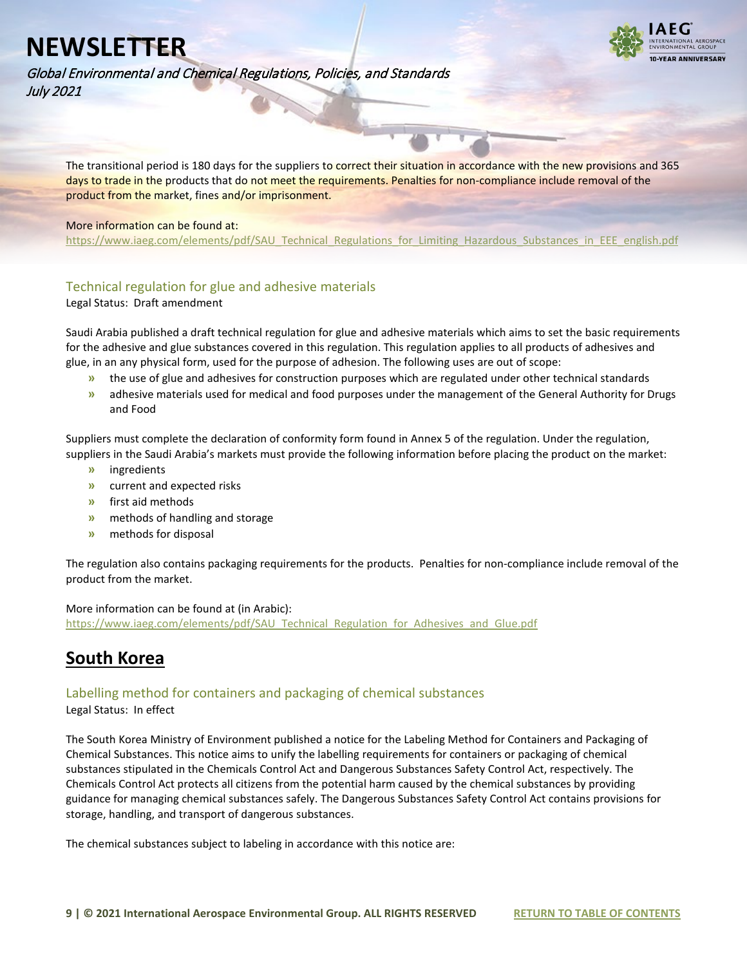

Global Environmental and Chemical Regulations, Policies, and Standards July 2021

The transitional period is 180 days for the suppliers to correct their situation in accordance with the new provisions and 365 days to trade in the products that do not meet the requirements. Penalties for non-compliance include removal of the product from the market, fines and/or imprisonment.

#### More information can be found at:

[https://www.iaeg.com/elements/pdf/SAU\\_Technical\\_Regulations\\_for\\_Limiting\\_Hazardous\\_Substances\\_in\\_EEE\\_english.pdf](https://www.iaeg.com/elements/pdf/SAU_Technical_Regulations_for_Limiting_Hazardous_Substances_in_EEE_english.pdf)

### <span id="page-8-0"></span>Technical regulation for glue and adhesive materials

Legal Status: Draft amendment

Saudi Arabia published a draft technical regulation for glue and adhesive materials which aims to set the basic requirements for the adhesive and glue substances covered in this regulation. This regulation applies to all products of adhesives and glue, in an any physical form, used for the purpose of adhesion. The following uses are out of scope:

- **»** the use of glue and adhesives for construction purposes which are regulated under other technical standards
- **»** adhesive materials used for medical and food purposes under the management of the General Authority for Drugs and Food

Suppliers must complete the declaration of conformity form found in Annex 5 of the regulation. Under the regulation, suppliers in the Saudi Arabia's markets must provide the following information before placing the product on the market:

- **»** ingredients
- **»** current and expected risks
- **»** first aid methods
- **»** methods of handling and storage
- **»** methods for disposal

The regulation also contains packaging requirements for the products. Penalties for non-compliance include removal of the product from the market.

More information can be found at (in Arabic): [https://www.iaeg.com/elements/pdf/SAU\\_Technical\\_Regulation\\_for\\_Adhesives\\_and\\_Glue.pdf](https://www.iaeg.com/elements/pdf/SAU_Technical_Regulation_for_Adhesives_and_Glue.pdf)

## <span id="page-8-1"></span>**South Korea**

### <span id="page-8-2"></span>Labelling method for containers and packaging of chemical substances

Legal Status: In effect

The South Korea Ministry of Environment published a notice for the Labeling Method for Containers and Packaging of Chemical Substances. This notice aims to unify the labelling requirements for containers or packaging of chemical substances stipulated in the Chemicals Control Act and Dangerous Substances Safety Control Act, respectively. The Chemicals Control Act protects all citizens from the potential harm caused by the chemical substances by providing guidance for managing chemical substances safely. The Dangerous Substances Safety Control Act contains provisions for storage, handling, and transport of dangerous substances.

The chemical substances subject to labeling in accordance with this notice are: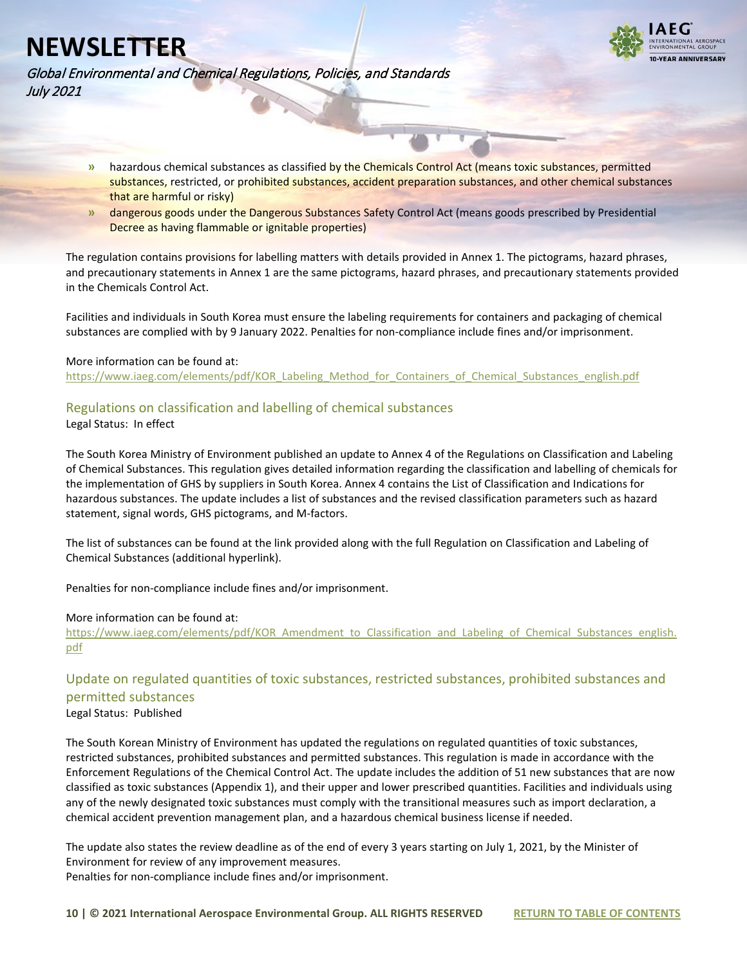



Global Environmental and Chemical Regulations, Policies, and Standards July 2021

- **»** hazardous chemical substances as classified by the Chemicals Control Act (means toxic substances, permitted substances, restricted, or prohibited substances, accident preparation substances, and other chemical substances that are harmful or risky)
- **»** dangerous goods under the Dangerous Substances Safety Control Act (means goods prescribed by Presidential Decree as having flammable or ignitable properties)

The regulation contains provisions for labelling matters with details provided in Annex 1. The pictograms, hazard phrases, and precautionary statements in Annex 1 are the same pictograms, hazard phrases, and precautionary statements provided in the Chemicals Control Act.

Facilities and individuals in South Korea must ensure the labeling requirements for containers and packaging of chemical substances are complied with by 9 January 2022. Penalties for non-compliance include fines and/or imprisonment.

#### More information can be found at:

[https://www.iaeg.com/elements/pdf/KOR\\_Labeling\\_Method\\_for\\_Containers\\_of\\_Chemical\\_Substances\\_english.pdf](https://www.iaeg.com/elements/pdf/KOR_Labeling_Method_for_Containers_of_Chemical_Substances_english.pdf)

#### <span id="page-9-0"></span>Regulations on classification and labelling of chemical substances

Legal Status: In effect

The South Korea Ministry of Environment published an update to Annex 4 of the Regulations on Classification and Labeling of Chemical Substances. This regulation gives detailed information regarding the classification and labelling of chemicals for the implementation of GHS by suppliers in South Korea. Annex 4 contains the List of Classification and Indications for hazardous substances. The update includes a list of substances and the revised classification parameters such as hazard statement, signal words, GHS pictograms, and M-factors.

The list of substances can be found at the link provided along with the full Regulation on Classification and Labeling of Chemical Substances (additional hyperlink).

Penalties for non-compliance include fines and/or imprisonment.

#### More information can be found at:

[https://www.iaeg.com/elements/pdf/KOR\\_Amendment\\_to\\_Classification\\_and\\_Labeling\\_of\\_Chemical\\_Substances\\_english.](https://www.iaeg.com/elements/pdf/KOR_Amendment_to_Classification_and_Labeling_of_Chemical_Substances_english.pdf) [pdf](https://www.iaeg.com/elements/pdf/KOR_Amendment_to_Classification_and_Labeling_of_Chemical_Substances_english.pdf)

### <span id="page-9-1"></span>Update on regulated quantities of toxic substances, restricted substances, prohibited substances and permitted substances

Legal Status: Published

The South Korean Ministry of Environment has updated the regulations on regulated quantities of toxic substances, restricted substances, prohibited substances and permitted substances. This regulation is made in accordance with the Enforcement Regulations of the Chemical Control Act. The update includes the addition of 51 new substances that are now classified as toxic substances (Appendix 1), and their upper and lower prescribed quantities. Facilities and individuals using any of the newly designated toxic substances must comply with the transitional measures such as import declaration, a chemical accident prevention management plan, and a hazardous chemical business license if needed.

The update also states the review deadline as of the end of every 3 years starting on July 1, 2021, by the Minister of Environment for review of any improvement measures. Penalties for non-compliance include fines and/or imprisonment.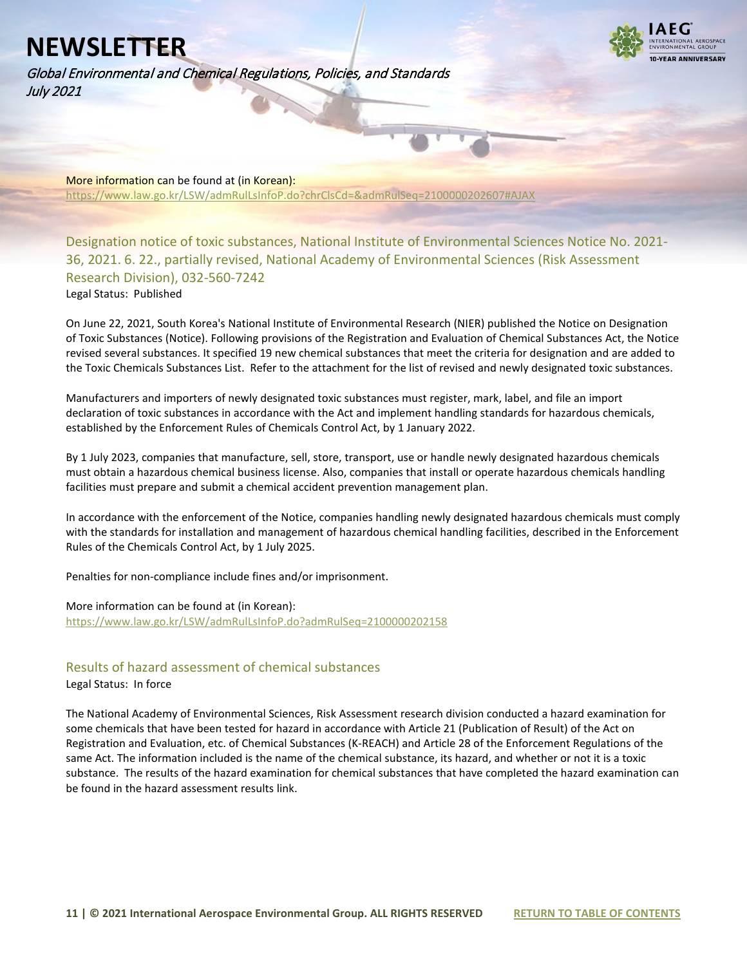Global Environmental and Chemical Regulations, Policies, and Standards July 2021



More information can be found at (in Korean): <https://www.law.go.kr/LSW/admRulLsInfoP.do?chrClsCd=&admRulSeq=2100000202607#AJAX>

<span id="page-10-0"></span>Designation notice of toxic substances, National Institute of Environmental Sciences Notice No. 2021- 36, 2021. 6. 22., partially revised, National Academy of Environmental Sciences (Risk Assessment Research Division), 032-560-7242

Legal Status: Published

On June 22, 2021, South Korea's National Institute of Environmental Research (NIER) published the Notice on Designation of Toxic Substances (Notice). Following provisions of the Registration and Evaluation of Chemical Substances Act, the Notice revised several substances. It specified 19 new chemical substances that meet the criteria for designation and are added to the Toxic Chemicals Substances List. Refer to the attachment for the list of revised and newly designated toxic substances.

Manufacturers and importers of newly designated toxic substances must register, mark, label, and file an import declaration of toxic substances in accordance with the Act and implement handling standards for hazardous chemicals, established by the Enforcement Rules of Chemicals Control Act, by 1 January 2022.

By 1 July 2023, companies that manufacture, sell, store, transport, use or handle newly designated hazardous chemicals must obtain a hazardous chemical business license. Also, companies that install or operate hazardous chemicals handling facilities must prepare and submit a chemical accident prevention management plan.

In accordance with the enforcement of the Notice, companies handling newly designated hazardous chemicals must comply with the standards for installation and management of hazardous chemical handling facilities, described in the Enforcement Rules of the Chemicals Control Act, by 1 July 2025.

Penalties for non-compliance include fines and/or imprisonment.

More information can be found at (in Korean): <https://www.law.go.kr/LSW/admRulLsInfoP.do?admRulSeq=2100000202158>

### <span id="page-10-1"></span>Results of hazard assessment of chemical substances

Legal Status: In force

The National Academy of Environmental Sciences, Risk Assessment research division conducted a hazard examination for some chemicals that have been tested for hazard in accordance with Article 21 (Publication of Result) of the Act on Registration and Evaluation, etc. of Chemical Substances (K-REACH) and Article 28 of the Enforcement Regulations of the same Act. The information included is the name of the chemical substance, its hazard, and whether or not it is a toxic substance. The results of the hazard examination for chemical substances that have completed the hazard examination can be found in the hazard assessment results link.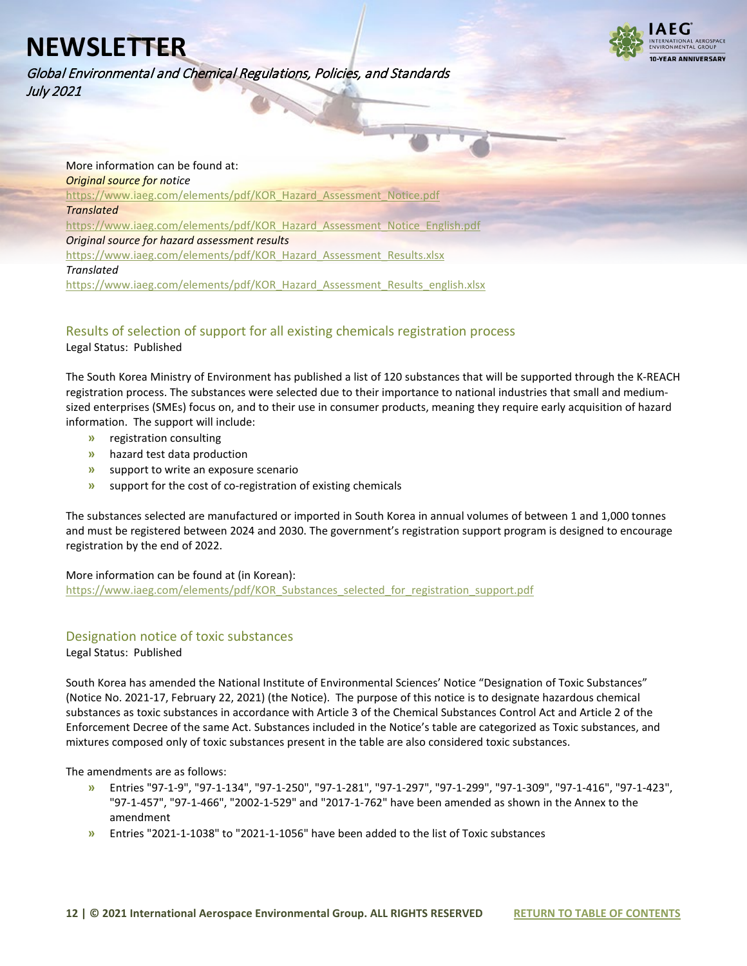Global Environmental and Chemical Regulations, Policies, and Standards July 2021



More information can be found at: *Original source for notice* [https://www.iaeg.com/elements/pdf/KOR\\_Hazard\\_Assessment\\_Notice.pdf](https://www.iaeg.com/elements/pdf/KOR_Hazard_Assessment_Notice.pdf) *Translated* [https://www.iaeg.com/elements/pdf/KOR\\_Hazard\\_Assessment\\_Notice\\_English.pdf](https://www.iaeg.com/elements/pdf/KOR_Hazard_Assessment_Notice_English.pdf) *Original source for hazard assessment results* [https://www.iaeg.com/elements/pdf/KOR\\_Hazard\\_Assessment\\_Results.xlsx](https://www.iaeg.com/elements/pdf/KOR_Hazard_Assessment_Results.xlsx) *Translated* [https://www.iaeg.com/elements/pdf/KOR\\_Hazard\\_Assessment\\_Results\\_english.xlsx](https://www.iaeg.com/elements/pdf/KOR_Hazard_Assessment_Results_english.xlsx)

### <span id="page-11-0"></span>Results of selection of support for all existing chemicals registration process

Legal Status: Published

The South Korea Ministry of Environment has published a list of 120 substances that will be supported through the K-REACH registration process. The substances were selected due to their importance to national industries that small and mediumsized enterprises (SMEs) focus on, and to their use in consumer products, meaning they require early acquisition of hazard information. The support will include:

- **»** registration consulting
- **»** hazard test data production
- **»** support to write an exposure scenario
- **»** support for the cost of co-registration of existing chemicals

The substances selected are manufactured or imported in South Korea in annual volumes of between 1 and 1,000 tonnes and must be registered between 2024 and 2030. The government's registration support program is designed to encourage registration by the end of 2022.

More information can be found at (in Korean):

[https://www.iaeg.com/elements/pdf/KOR\\_Substances\\_selected\\_for\\_registration\\_support.pdf](https://www.iaeg.com/elements/pdf/KOR_Substances_selected_for_registration_support.pdf)

### <span id="page-11-1"></span>Designation notice of toxic substances

Legal Status: Published

South Korea has amended the National Institute of Environmental Sciences' Notice "Designation of Toxic Substances" (Notice No. 2021-17, February 22, 2021) (the Notice). The purpose of this notice is to designate hazardous chemical substances as toxic substances in accordance with Article 3 of the Chemical Substances Control Act and Article 2 of the Enforcement Decree of the same Act. Substances included in the Notice's table are categorized as Toxic substances, and mixtures composed only of toxic substances present in the table are also considered toxic substances.

The amendments are as follows:

- **»** Entries "97-1-9", "97-1-134", "97-1-250", "97-1-281", "97-1-297", "97-1-299", "97-1-309", "97-1-416", "97-1-423", "97-1-457", "97-1-466", "2002-1-529" and "2017-1-762" have been amended as shown in the Annex to the amendment
- **»** Entries "2021-1-1038" to "2021-1-1056" have been added to the list of Toxic substances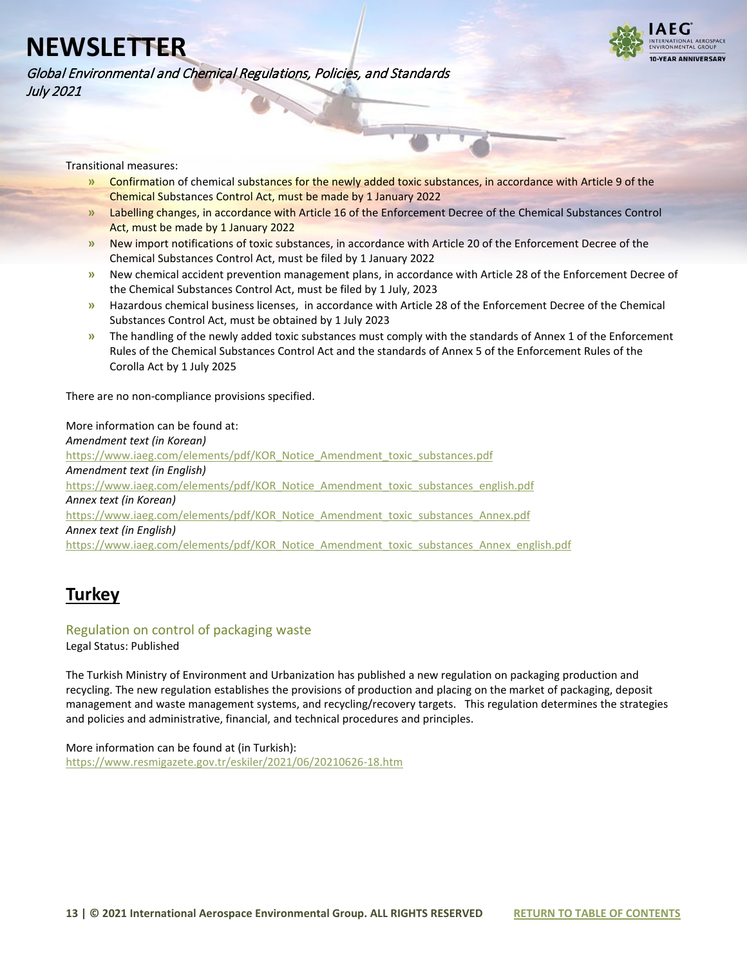Global Environmental and Chemical Regulations, Policies, and Standards July 2021



Transitional measures:

- **»** Confirmation of chemical substances for the newly added toxic substances, in accordance with Article 9 of the Chemical Substances Control Act, must be made by 1 January 2022
- **»** Labelling changes, in accordance with Article 16 of the Enforcement Decree of the Chemical Substances Control Act, must be made by 1 January 2022
- **»** New import notifications of toxic substances, in accordance with Article 20 of the Enforcement Decree of the Chemical Substances Control Act, must be filed by 1 January 2022
- **»** New chemical accident prevention management plans, in accordance with Article 28 of the Enforcement Decree of the Chemical Substances Control Act, must be filed by 1 July, 2023
- **»** Hazardous chemical business licenses, in accordance with Article 28 of the Enforcement Decree of the Chemical Substances Control Act, must be obtained by 1 July 2023
- **»** The handling of the newly added toxic substances must comply with the standards of Annex 1 of the Enforcement Rules of the Chemical Substances Control Act and the standards of Annex 5 of the Enforcement Rules of the Corolla Act by 1 July 2025

There are no non-compliance provisions specified.

More information can be found at: *Amendment text (in Korean)* [https://www.iaeg.com/elements/pdf/KOR\\_Notice\\_Amendment\\_toxic\\_substances.pdf](https://www.iaeg.com/elements/pdf/KOR_Notice_Amendment_toxic_substances.pdf) *Amendment text (in English)* [https://www.iaeg.com/elements/pdf/KOR\\_Notice\\_Amendment\\_toxic\\_substances\\_english.pdf](https://www.iaeg.com/elements/pdf/KOR_Notice_Amendment_toxic_substances_english.pdf) *Annex text (in Korean)* [https://www.iaeg.com/elements/pdf/KOR\\_Notice\\_Amendment\\_toxic\\_substances\\_Annex.pdf](https://www.iaeg.com/elements/pdf/KOR_Notice_Amendment_toxic_substances_Annex.pdf) *Annex text (in English)* [https://www.iaeg.com/elements/pdf/KOR\\_Notice\\_Amendment\\_toxic\\_substances\\_Annex\\_english.pdf](https://www.iaeg.com/elements/pdf/KOR_Notice_Amendment_toxic_substances_Annex_english.pdf)

## <span id="page-12-0"></span>**Turkey**

## <span id="page-12-1"></span>Regulation on control of packaging waste

Legal Status: Published

The Turkish Ministry of Environment and Urbanization has published a new regulation on packaging production and recycling. The new regulation establishes the provisions of production and placing on the market of packaging, deposit management and waste management systems, and recycling/recovery targets. This regulation determines the strategies and policies and administrative, financial, and technical procedures and principles.

More information can be found at (in Turkish): <https://www.resmigazete.gov.tr/eskiler/2021/06/20210626-18.htm>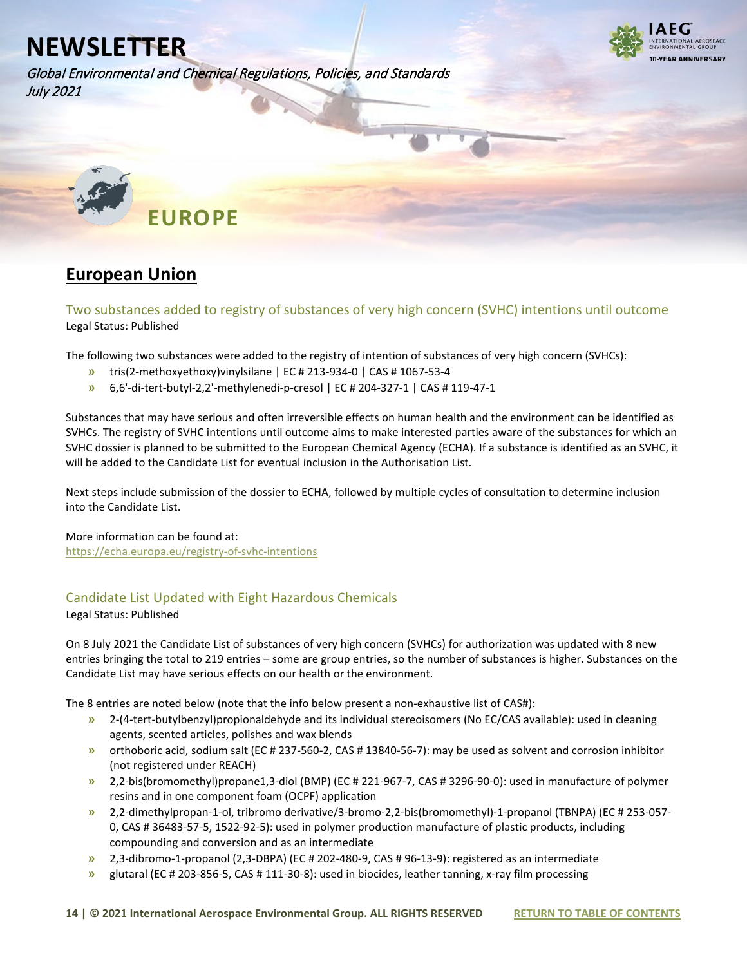Global Environmental and Chemical Regulations, Policies, and Standards July 2021



<span id="page-13-0"></span>

## <span id="page-13-1"></span>**European Union**

<span id="page-13-2"></span>Two substances added to registry of substances of very high concern (SVHC) intentions until outcome Legal Status: Published

The following two substances were added to the registry of intention of substances of very high concern (SVHCs):

- **»** tris(2-methoxyethoxy)vinylsilane | EC # 213-934-0 | CAS # 1067-53-4
- **»** 6,6'-di-tert-butyl-2,2'-methylenedi-p-cresol | EC # 204-327-1 | CAS # 119-47-1

Substances that may have serious and often irreversible effects on human health and the environment can be identified as SVHCs. The registry of SVHC intentions until outcome aims to make interested parties aware of the substances for which an SVHC dossier is planned to be submitted to the European Chemical Agency (ECHA). If a substance is identified as an SVHC, it will be added to the Candidate List for eventual inclusion in the Authorisation List.

Next steps include submission of the dossier to ECHA, followed by multiple cycles of consultation to determine inclusion into the Candidate List.

More information can be found at:

<https://echa.europa.eu/registry-of-svhc-intentions>

### <span id="page-13-3"></span>Candidate List Updated with Eight Hazardous Chemicals

Legal Status: Published

On 8 July 2021 the Candidate List of substances of very high concern (SVHCs) for authorization was updated with 8 new entries bringing the total to 219 entries – some are group entries, so the number of substances is higher. Substances on the Candidate List may have serious effects on our health or the environment.

The 8 entries are noted below (note that the info below present a non-exhaustive list of CAS#):

- **»** 2-(4-tert-butylbenzyl)propionaldehyde and its individual stereoisomers (No EC/CAS available): used in cleaning agents, scented articles, polishes and wax blends
- **»** orthoboric acid, sodium salt (EC # 237-560-2, CAS # 13840-56-7): may be used as solvent and corrosion inhibitor (not registered under REACH)
- **»** 2,2-bis(bromomethyl)propane1,3-diol (BMP) (EC # 221-967-7, CAS # 3296-90-0): used in manufacture of polymer resins and in one component foam (OCPF) application
- **»** 2,2-dimethylpropan-1-ol, tribromo derivative/3-bromo-2,2-bis(bromomethyl)-1-propanol (TBNPA) (EC # 253-057- 0, CAS # 36483-57-5, 1522-92-5): used in polymer production manufacture of plastic products, including compounding and conversion and as an intermediate
- **»** 2,3-dibromo-1-propanol (2,3-DBPA) (EC # 202-480-9, CAS # 96-13-9): registered as an intermediate
- **»** glutaral (EC # 203-856-5, CAS # 111-30-8): used in biocides, leather tanning, x-ray film processing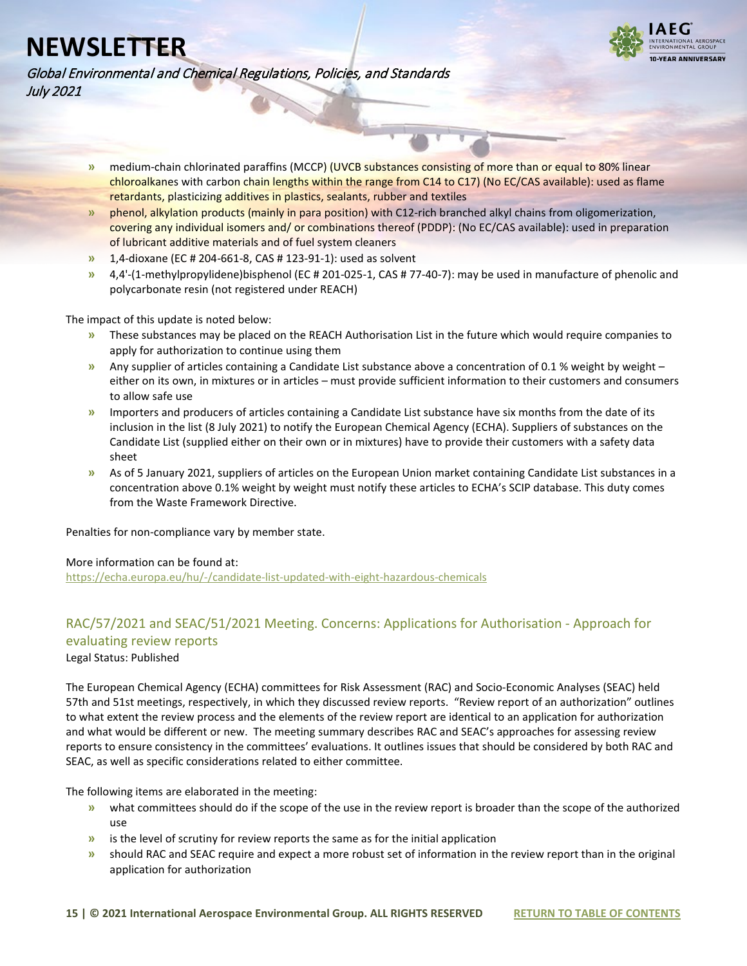

Global Environmental and Chemical Regulations, Policies, and Standards July 2021

- **»** medium-chain chlorinated paraffins (MCCP) (UVCB substances consisting of more than or equal to 80% linear chloroalkanes with carbon chain lengths within the range from C14 to C17) (No EC/CAS available): used as flame retardants, plasticizing additives in plastics, sealants, rubber and textiles
- **»** phenol, alkylation products (mainly in para position) with C12-rich branched alkyl chains from oligomerization, covering any individual isomers and/ or combinations thereof (PDDP): (No EC/CAS available): used in preparation of lubricant additive materials and of fuel system cleaners
- **»** 1,4-dioxane (EC # 204-661-8, CAS # 123-91-1): used as solvent
- **»** 4,4'-(1-methylpropylidene)bisphenol (EC # 201-025-1, CAS # 77-40-7): may be used in manufacture of phenolic and polycarbonate resin (not registered under REACH)

The impact of this update is noted below:

- **»** These substances may be placed on the REACH Authorisation List in the future which would require companies to apply for authorization to continue using them
- **»** Any supplier of articles containing a Candidate List substance above a concentration of 0.1 % weight by weight either on its own, in mixtures or in articles – must provide sufficient information to their customers and consumers to allow safe use
- **»** Importers and producers of articles containing a Candidate List substance have six months from the date of its inclusion in the list (8 July 2021) to notify the European Chemical Agency (ECHA). Suppliers of substances on the Candidate List (supplied either on their own or in mixtures) have to provide their customers with a safety data sheet
- **»** As of 5 January 2021, suppliers of articles on the European Union market containing Candidate List substances in a concentration above 0.1% weight by weight must notify these articles to ECHA's SCIP database. This duty comes from the Waste Framework Directive.

Penalties for non-compliance vary by member state.

#### More information can be found at:

<https://echa.europa.eu/hu/-/candidate-list-updated-with-eight-hazardous-chemicals>

### <span id="page-14-0"></span>RAC/57/2021 and SEAC/51/2021 Meeting. Concerns: Applications for Authorisation - Approach for evaluating review reports Legal Status: Published

The European Chemical Agency (ECHA) committees for Risk Assessment (RAC) and Socio-Economic Analyses (SEAC) held 57th and 51st meetings, respectively, in which they discussed review reports. "Review report of an authorization" outlines to what extent the review process and the elements of the review report are identical to an application for authorization and what would be different or new. The meeting summary describes RAC and SEAC's approaches for assessing review reports to ensure consistency in the committees' evaluations. It outlines issues that should be considered by both RAC and SEAC, as well as specific considerations related to either committee.

The following items are elaborated in the meeting:

- **»** what committees should do if the scope of the use in the review report is broader than the scope of the authorized use
- **»** is the level of scrutiny for review reports the same as for the initial application
- **»** should RAC and SEAC require and expect a more robust set of information in the review report than in the original application for authorization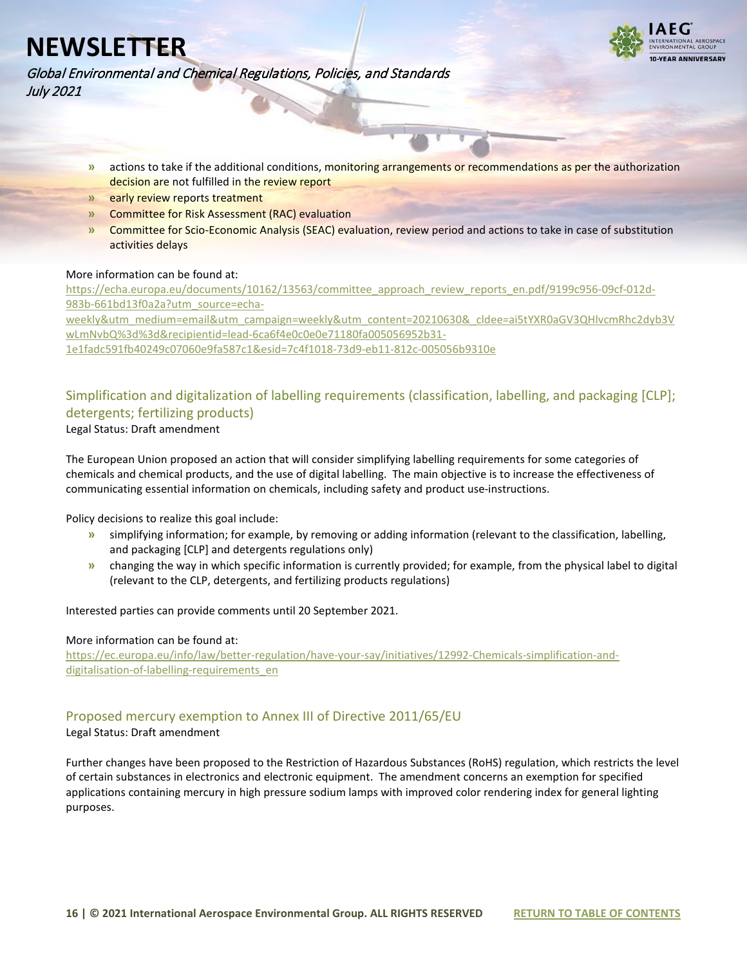

Global Environmental and Chemical Regulations, Policies, and Standards July 2021

- **»** actions to take if the additional conditions, monitoring arrangements or recommendations as per the authorization decision are not fulfilled in the review report
- **»** early review reports treatment
- **»** Committee for Risk Assessment (RAC) evaluation
- **»** Committee for Scio-Economic Analysis (SEAC) evaluation, review period and actions to take in case of substitution activities delays

#### More information can be found at:

[https://echa.europa.eu/documents/10162/13563/committee\\_approach\\_review\\_reports\\_en.pdf/9199c956-09cf-012d-](https://echa.europa.eu/documents/10162/13563/committee_approach_review_reports_en.pdf/9199c956-09cf-012d-983b-661bd13f0a2a?utm_source=echa-weekly&utm_medium=email&utm_campaign=weekly&utm_content=20210630&_cldee=ai5tYXR0aGV3QHlvcmRhc2dyb3VwLmNvbQ%3d%3d&recipientid=lead-6ca6f4e0c0e0e71180fa005056952b31-1e1fadc591fb40249c07060e9fa587c1&esid=7c4f1018-73d9-eb11-812c-005056b9310e)[983b-661bd13f0a2a?utm\\_source=echa](https://echa.europa.eu/documents/10162/13563/committee_approach_review_reports_en.pdf/9199c956-09cf-012d-983b-661bd13f0a2a?utm_source=echa-weekly&utm_medium=email&utm_campaign=weekly&utm_content=20210630&_cldee=ai5tYXR0aGV3QHlvcmRhc2dyb3VwLmNvbQ%3d%3d&recipientid=lead-6ca6f4e0c0e0e71180fa005056952b31-1e1fadc591fb40249c07060e9fa587c1&esid=7c4f1018-73d9-eb11-812c-005056b9310e)[weekly&utm\\_medium=email&utm\\_campaign=weekly&utm\\_content=20210630&\\_cldee=ai5tYXR0aGV3QHlvcmRhc2dyb3V](https://echa.europa.eu/documents/10162/13563/committee_approach_review_reports_en.pdf/9199c956-09cf-012d-983b-661bd13f0a2a?utm_source=echa-weekly&utm_medium=email&utm_campaign=weekly&utm_content=20210630&_cldee=ai5tYXR0aGV3QHlvcmRhc2dyb3VwLmNvbQ%3d%3d&recipientid=lead-6ca6f4e0c0e0e71180fa005056952b31-1e1fadc591fb40249c07060e9fa587c1&esid=7c4f1018-73d9-eb11-812c-005056b9310e) [wLmNvbQ%3d%3d&recipientid=lead-6ca6f4e0c0e0e71180fa005056952b31-](https://echa.europa.eu/documents/10162/13563/committee_approach_review_reports_en.pdf/9199c956-09cf-012d-983b-661bd13f0a2a?utm_source=echa-weekly&utm_medium=email&utm_campaign=weekly&utm_content=20210630&_cldee=ai5tYXR0aGV3QHlvcmRhc2dyb3VwLmNvbQ%3d%3d&recipientid=lead-6ca6f4e0c0e0e71180fa005056952b31-1e1fadc591fb40249c07060e9fa587c1&esid=7c4f1018-73d9-eb11-812c-005056b9310e) [1e1fadc591fb40249c07060e9fa587c1&esid=7c4f1018-73d9-eb11-812c-005056b9310e](https://echa.europa.eu/documents/10162/13563/committee_approach_review_reports_en.pdf/9199c956-09cf-012d-983b-661bd13f0a2a?utm_source=echa-weekly&utm_medium=email&utm_campaign=weekly&utm_content=20210630&_cldee=ai5tYXR0aGV3QHlvcmRhc2dyb3VwLmNvbQ%3d%3d&recipientid=lead-6ca6f4e0c0e0e71180fa005056952b31-1e1fadc591fb40249c07060e9fa587c1&esid=7c4f1018-73d9-eb11-812c-005056b9310e)

### <span id="page-15-0"></span>Simplification and digitalization of labelling requirements (classification, labelling, and packaging [CLP]; detergents; fertilizing products)

Legal Status: Draft amendment

The European Union proposed an action that will consider simplifying labelling requirements for some categories of chemicals and chemical products, and the use of digital labelling. The main objective is to increase the effectiveness of communicating essential information on chemicals, including safety and product use-instructions.

Policy decisions to realize this goal include:

- **»** simplifying information; for example, by removing or adding information (relevant to the classification, labelling, and packaging [CLP] and detergents regulations only)
- **»** changing the way in which specific information is currently provided; for example, from the physical label to digital (relevant to the CLP, detergents, and fertilizing products regulations)

Interested parties can provide comments until 20 September 2021.

#### More information can be found at:

[https://ec.europa.eu/info/law/better-regulation/have-your-say/initiatives/12992-Chemicals-simplification-and](https://ec.europa.eu/info/law/better-regulation/have-your-say/initiatives/12992-Chemicals-simplification-and-digitalisation-of-labelling-requirements_en)[digitalisation-of-labelling-requirements\\_en](https://ec.europa.eu/info/law/better-regulation/have-your-say/initiatives/12992-Chemicals-simplification-and-digitalisation-of-labelling-requirements_en)

### <span id="page-15-1"></span>Proposed mercury exemption to Annex III of Directive 2011/65/EU

Legal Status: Draft amendment

Further changes have been proposed to the Restriction of Hazardous Substances (RoHS) regulation, which restricts the level of certain substances in electronics and electronic equipment. The amendment concerns an exemption for specified applications containing mercury in high pressure sodium lamps with improved color rendering index for general lighting purposes.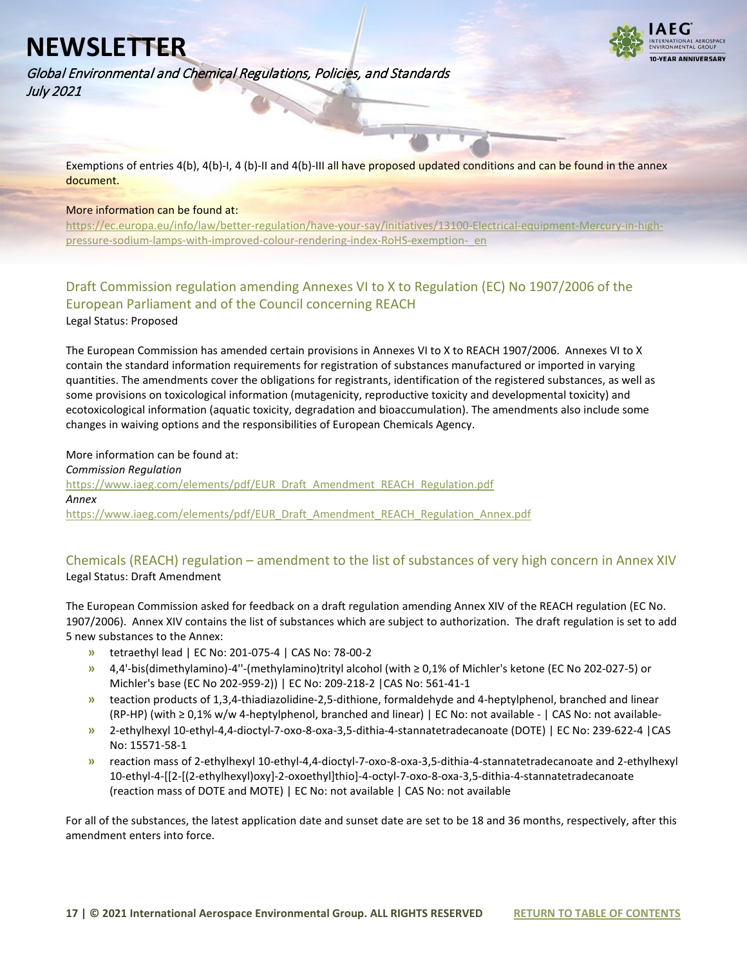

Global Environmental and Chemical Regulations, Policies, and Standards July 2021

Exemptions of entries 4(b), 4(b)-I, 4 (b)-II and 4(b)-III all have proposed updated conditions and can be found in the annex document.

#### More information can be found at:

[https://ec.europa.eu/info/law/better-regulation/have-your-say/initiatives/13100-Electrical-equipment-Mercury-in-high](https://ec.europa.eu/info/law/better-regulation/have-your-say/initiatives/13100-Electrical-equipment-Mercury-in-high-pressure-sodium-lamps-with-improved-colour-rendering-index-RoHS-exemption-_en)[pressure-sodium-lamps-with-improved-colour-rendering-index-RoHS-exemption-\\_en](https://ec.europa.eu/info/law/better-regulation/have-your-say/initiatives/13100-Electrical-equipment-Mercury-in-high-pressure-sodium-lamps-with-improved-colour-rendering-index-RoHS-exemption-_en)

### <span id="page-16-0"></span>Draft Commission regulation amending Annexes VI to X to Regulation (EC) No 1907/2006 of the European Parliament and of the Council concerning REACH Legal Status: Proposed

The European Commission has amended certain provisions in Annexes VI to X to REACH 1907/2006. Annexes VI to X contain the standard information requirements for registration of substances manufactured or imported in varying quantities. The amendments cover the obligations for registrants, identification of the registered substances, as well as some provisions on toxicological information (mutagenicity, reproductive toxicity and developmental toxicity) and ecotoxicological information (aquatic toxicity, degradation and bioaccumulation). The amendments also include some changes in waiving options and the responsibilities of European Chemicals Agency.

#### More information can be found at:

*Commission Regulation* [https://www.iaeg.com/elements/pdf/EUR\\_Draft\\_Amendment\\_REACH\\_Regulation.pdf](https://www.iaeg.com/elements/pdf/EUR_Draft_Amendment_REACH_Regulation.pdf) *Annex* [https://www.iaeg.com/elements/pdf/EUR\\_Draft\\_Amendment\\_REACH\\_Regulation\\_Annex.pdf](https://www.iaeg.com/elements/pdf/EUR_Draft_Amendment_REACH_Regulation_Annex.pdf)

### <span id="page-16-1"></span>Chemicals (REACH) regulation – amendment to the list of substances of very high concern in Annex XIV Legal Status: Draft Amendment

The European Commission asked for feedback on a draft regulation amending Annex XIV of the REACH regulation (EC No. 1907/2006). Annex XIV contains the list of substances which are subject to authorization. The draft regulation is set to add 5 new substances to the Annex:

- **»** tetraethyl lead | EC No: 201-075-4 | CAS No: 78-00-2
- **»** 4,4'-bis(dimethylamino)-4''-(methylamino)trityl alcohol (with ≥ 0,1% of Michler's ketone (EC No 202-027-5) or Michler's base (EC No 202-959-2)) | EC No: 209-218-2 |CAS No: 561-41-1
- **»** teaction products of 1,3,4-thiadiazolidine-2,5-dithione, formaldehyde and 4-heptylphenol, branched and linear (RP-HP) (with ≥ 0,1% w/w 4-heptylphenol, branched and linear) | EC No: not available - | CAS No: not available-
- **»** 2-ethylhexyl 10-ethyl-4,4-dioctyl-7-oxo-8-oxa-3,5-dithia-4-stannatetradecanoate (DOTE) | EC No: 239-622-4 |CAS No: 15571-58-1
- **»** reaction mass of 2-ethylhexyl 10-ethyl-4,4-dioctyl-7-oxo-8-oxa-3,5-dithia-4-stannatetradecanoate and 2-ethylhexyl 10-ethyl-4-[[2-[(2-ethylhexyl)oxy]-2-oxoethyl]thio]-4-octyl-7-oxo-8-oxa-3,5-dithia-4-stannatetradecanoate (reaction mass of DOTE and MOTE) | EC No: not available | CAS No: not available

For all of the substances, the latest application date and sunset date are set to be 18 and 36 months, respectively, after this amendment enters into force.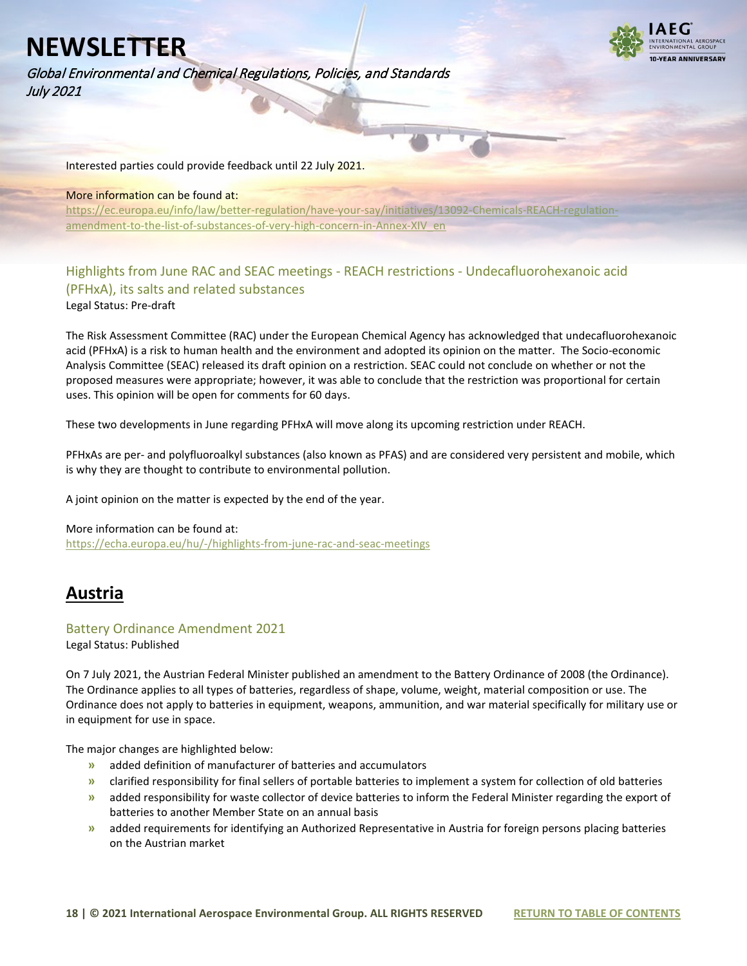Global Environmental and Chemical Regulations, Policies, and Standards July 2021



Interested parties could provide feedback until 22 July 2021.

#### More information can be found at:

[https://ec.europa.eu/info/law/better-regulation/have-your-say/initiatives/13092-Chemicals-REACH-regulation](https://ec.europa.eu/info/law/better-regulation/have-your-say/initiatives/13092-Chemicals-REACH-regulation-amendment-to-the-list-of-substances-of-very-high-concern-in-Annex-XIV_en)amendment-to-the-list-of-substances-of-very-high-concern-in-Annex-XIV en

### <span id="page-17-0"></span>Highlights from June RAC and SEAC meetings - REACH restrictions - Undecafluorohexanoic acid (PFHxA), its salts and related substances

Legal Status: Pre-draft

The Risk Assessment Committee (RAC) under the European Chemical Agency has acknowledged that undecafluorohexanoic acid (PFHxA) is a risk to human health and the environment and adopted its opinion on the matter. The Socio-economic Analysis Committee (SEAC) released its draft opinion on a restriction. SEAC could not conclude on whether or not the proposed measures were appropriate; however, it was able to conclude that the restriction was proportional for certain uses. This opinion will be open for comments for 60 days.

These two developments in June regarding PFHxA will move along its upcoming restriction under REACH.

PFHxAs are per- and polyfluoroalkyl substances (also known as PFAS) and are considered very persistent and mobile, which is why they are thought to contribute to environmental pollution.

A joint opinion on the matter is expected by the end of the year.

#### More information can be found at:

<https://echa.europa.eu/hu/-/highlights-from-june-rac-and-seac-meetings>

### <span id="page-17-1"></span>**Austria**

#### <span id="page-17-2"></span>Battery Ordinance Amendment 2021

Legal Status: Published

On 7 July 2021, the Austrian Federal Minister published an amendment to the Battery Ordinance of 2008 (the Ordinance). The Ordinance applies to all types of batteries, regardless of shape, volume, weight, material composition or use. The Ordinance does not apply to batteries in equipment, weapons, ammunition, and war material specifically for military use or in equipment for use in space.

The major changes are highlighted below:

- **»** added definition of manufacturer of batteries and accumulators
- **»** clarified responsibility for final sellers of portable batteries to implement a system for collection of old batteries
- **»** added responsibility for waste collector of device batteries to inform the Federal Minister regarding the export of batteries to another Member State on an annual basis
- **»** added requirements for identifying an Authorized Representative in Austria for foreign persons placing batteries on the Austrian market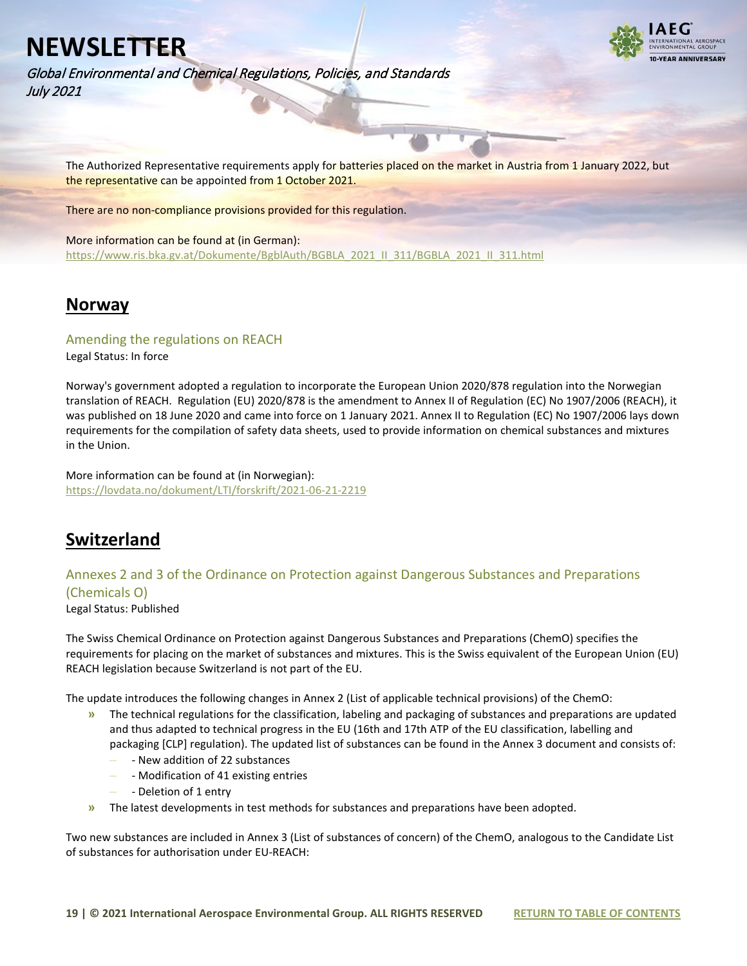Global Environmental and Chemical Regulations, Policies, and Standards July 2021



The Authorized Representative requirements apply for batteries placed on the market in Austria from 1 January 2022, but the representative can be appointed from 1 October 2021.

There are no non-compliance provisions provided for this regulation.

More information can be found at (in German): [https://www.ris.bka.gv.at/Dokumente/BgblAuth/BGBLA\\_2021\\_II\\_311/BGBLA\\_2021\\_II\\_311.html](https://www.ris.bka.gv.at/Dokumente/BgblAuth/BGBLA_2021_II_311/BGBLA_2021_II_311.html)

### <span id="page-18-0"></span>**Norway**

### <span id="page-18-1"></span>Amending the regulations on REACH

Legal Status: In force

Norway's government adopted a regulation to incorporate the European Union 2020/878 regulation into the Norwegian translation of REACH. Regulation (EU) 2020/878 is the amendment to Annex II of Regulation (EC) No 1907/2006 (REACH), it was published on 18 June 2020 and came into force on 1 January 2021. Annex II to Regulation (EC) No 1907/2006 lays down requirements for the compilation of safety data sheets, used to provide information on chemical substances and mixtures in the Union.

More information can be found at (in Norwegian): <https://lovdata.no/dokument/LTI/forskrift/2021-06-21-2219>

## <span id="page-18-2"></span>**Switzerland**

### <span id="page-18-3"></span>Annexes 2 and 3 of the Ordinance on Protection against Dangerous Substances and Preparations (Chemicals O)

Legal Status: Published

The Swiss Chemical Ordinance on Protection against Dangerous Substances and Preparations (ChemO) specifies the requirements for placing on the market of substances and mixtures. This is the Swiss equivalent of the European Union (EU) REACH legislation because Switzerland is not part of the EU.

The update introduces the following changes in Annex 2 (List of applicable technical provisions) of the ChemO:

- **»** The technical regulations for the classification, labeling and packaging of substances and preparations are updated and thus adapted to technical progress in the EU (16th and 17th ATP of the EU classification, labelling and packaging [CLP] regulation). The updated list of substances can be found in the Annex 3 document and consists of:
	- **–** New addition of 22 substances
	- **–** Modification of 41 existing entries
	- **–** Deletion of 1 entry
- **»** The latest developments in test methods for substances and preparations have been adopted.

Two new substances are included in Annex 3 (List of substances of concern) of the ChemO, analogous to the Candidate List of substances for authorisation under EU-REACH: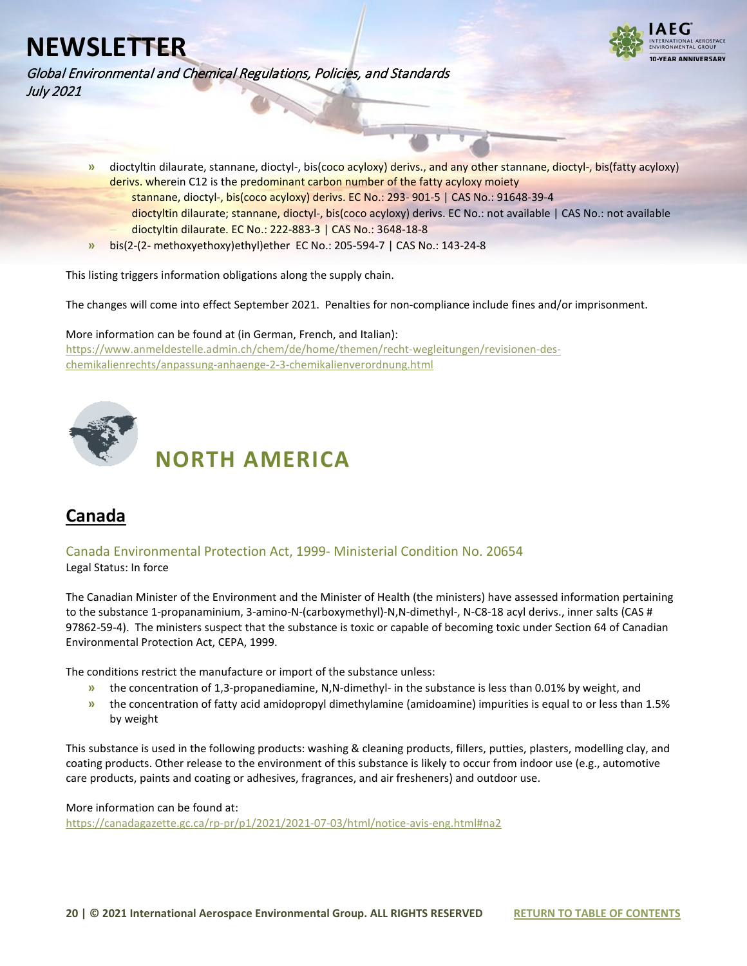Global Environmental and Chemical Regulations, Policies, and Standards July 2021



- **»** dioctyltin dilaurate, stannane, dioctyl-, bis(coco acyloxy) derivs., and any other stannane, dioctyl-, bis(fatty acyloxy) derivs. wherein C12 is the predominant carbon number of the fatty acyloxy moiety
	- **–** stannane, dioctyl-, bis(coco acyloxy) derivs. EC No.: 293- 901-5 | CAS No.: 91648-39-4
	- **–** dioctyltin dilaurate; stannane, dioctyl-, bis(coco acyloxy) derivs. EC No.: not available | CAS No.: not available **–** dioctyltin dilaurate. EC No.: 222-883-3 | CAS No.: 3648-18-8
- **»** bis(2-(2- methoxyethoxy)ethyl)ether EC No.: 205-594-7 | CAS No.: 143-24-8

This listing triggers information obligations along the supply chain.

The changes will come into effect September 2021. Penalties for non-compliance include fines and/or imprisonment.

More information can be found at (in German, French, and Italian): [https://www.anmeldestelle.admin.ch/chem/de/home/themen/recht-wegleitungen/revisionen-des](https://www.anmeldestelle.admin.ch/chem/de/home/themen/recht-wegleitungen/revisionen-des-chemikalienrechts/anpassung-anhaenge-2-3-chemikalienverordnung.html)[chemikalienrechts/anpassung-anhaenge-2-3-chemikalienverordnung.html](https://www.anmeldestelle.admin.ch/chem/de/home/themen/recht-wegleitungen/revisionen-des-chemikalienrechts/anpassung-anhaenge-2-3-chemikalienverordnung.html)

<span id="page-19-0"></span>

# **NORTH AMERICA**

## <span id="page-19-1"></span>**Canada**

<span id="page-19-2"></span>Canada Environmental Protection Act, 1999- Ministerial Condition No. 20654 Legal Status: In force

The Canadian Minister of the Environment and the Minister of Health (the ministers) have assessed information pertaining to the substance 1-propanaminium, 3-amino-N-(carboxymethyl)-N,N-dimethyl-, N-C8-18 acyl derivs., inner salts (CAS # 97862-59-4). The ministers suspect that the substance is toxic or capable of becoming toxic under Section 64 of Canadian Environmental Protection Act, CEPA, 1999.

The conditions restrict the manufacture or import of the substance unless:

- **»** the concentration of 1,3-propanediamine, N,N-dimethyl- in the substance is less than 0.01% by weight, and
- **»** the concentration of fatty acid amidopropyl dimethylamine (amidoamine) impurities is equal to or less than 1.5% by weight

This substance is used in the following products: washing & cleaning products, fillers, putties, plasters, modelling clay, and coating products. Other release to the environment of this substance is likely to occur from indoor use (e.g., automotive care products, paints and coating or adhesives, fragrances, and air fresheners) and outdoor use.

More information can be found at: <https://canadagazette.gc.ca/rp-pr/p1/2021/2021-07-03/html/notice-avis-eng.html#na2>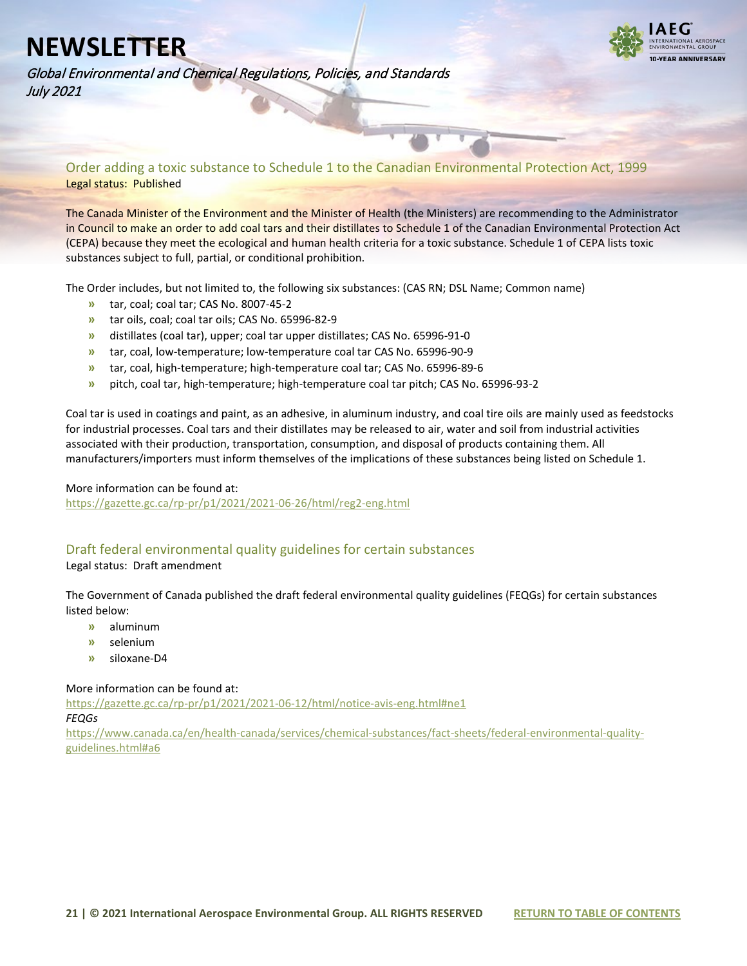**VEAR ANNIVERSARY** 

Global Environmental and Chemical Regulations, Policies, and Standards July 2021

<span id="page-20-0"></span>Order adding a toxic substance to Schedule 1 to the Canadian Environmental Protection Act, 1999 Legal status: Published

The Canada Minister of the Environment and the Minister of Health (the Ministers) are recommending to the Administrator in Council to make an order to add coal tars and their distillates to Schedule 1 of the Canadian Environmental Protection Act (CEPA) because they meet the ecological and human health criteria for a toxic substance. Schedule 1 of CEPA lists toxic substances subject to full, partial, or conditional prohibition.

The Order includes, but not limited to, the following six substances: (CAS RN; DSL Name; Common name)

- **»** tar, coal; coal tar; CAS No. 8007-45-2
- **»** tar oils, coal; coal tar oils; CAS No. 65996-82-9
- **»** distillates (coal tar), upper; coal tar upper distillates; CAS No. 65996-91-0
- **»** tar, coal, low-temperature; low-temperature coal tar CAS No. 65996-90-9
- **»** tar, coal, high-temperature; high-temperature coal tar; CAS No. 65996-89-6
- **»** pitch, coal tar, high-temperature; high-temperature coal tar pitch; CAS No. 65996-93-2

Coal tar is used in coatings and paint, as an adhesive, in aluminum industry, and coal tire oils are mainly used as feedstocks for industrial processes. Coal tars and their distillates may be released to air, water and soil from industrial activities associated with their production, transportation, consumption, and disposal of products containing them. All manufacturers/importers must inform themselves of the implications of these substances being listed on Schedule 1.

#### More information can be found at:

<https://gazette.gc.ca/rp-pr/p1/2021/2021-06-26/html/reg2-eng.html>

### <span id="page-20-1"></span>Draft federal environmental quality guidelines for certain substances

Legal status: Draft amendment

The Government of Canada published the draft federal environmental quality guidelines (FEQGs) for certain substances listed below:

- **»** aluminum
- **»** selenium
- **»** siloxane-D4

More information can be found at:

<https://gazette.gc.ca/rp-pr/p1/2021/2021-06-12/html/notice-avis-eng.html#ne1> *FEQGs* [https://www.canada.ca/en/health-canada/services/chemical-substances/fact-sheets/federal-environmental-quality-](https://www.canada.ca/en/health-canada/services/chemical-substances/fact-sheets/federal-environmental-quality-guidelines.html#a6)

[guidelines.html#a6](https://www.canada.ca/en/health-canada/services/chemical-substances/fact-sheets/federal-environmental-quality-guidelines.html#a6)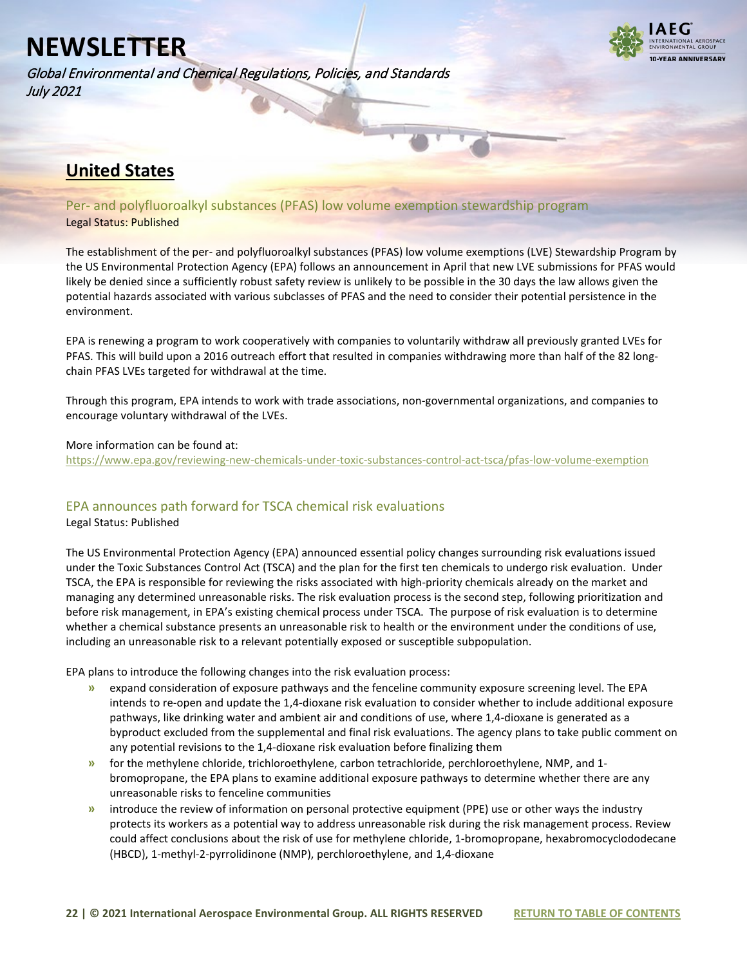Global Environmental and Chemical Regulations, Policies, and Standards July 2021



### <span id="page-21-0"></span>**United States**

<span id="page-21-1"></span>Per- and polyfluoroalkyl substances (PFAS) low volume exemption stewardship program Legal Status: Published

The establishment of the per- and polyfluoroalkyl substances (PFAS) low volume exemptions (LVE) Stewardship Program by the US Environmental Protection Agency (EPA) follows an announcement in April that new LVE submissions for PFAS would likely be denied since a sufficiently robust safety review is unlikely to be possible in the 30 days the law allows given the potential hazards associated with various subclasses of PFAS and the need to consider their potential persistence in the environment.

EPA is renewing a program to work cooperatively with companies to voluntarily withdraw all previously granted LVEs for PFAS. This will build upon a 2016 outreach effort that resulted in companies withdrawing more than half of the 82 longchain PFAS LVEs targeted for withdrawal at the time.

Through this program, EPA intends to work with trade associations, non-governmental organizations, and companies to encourage voluntary withdrawal of the LVEs.

#### More information can be found at:

<https://www.epa.gov/reviewing-new-chemicals-under-toxic-substances-control-act-tsca/pfas-low-volume-exemption>

### <span id="page-21-2"></span>EPA announces path forward for TSCA chemical risk evaluations

Legal Status: Published

The US Environmental Protection Agency (EPA) announced essential policy changes surrounding risk evaluations issued under the Toxic Substances Control Act (TSCA) and the plan for the first ten chemicals to undergo risk evaluation. Under TSCA, the EPA is responsible for reviewing the risks associated with high-priority chemicals already on the market and managing any determined unreasonable risks. The risk evaluation process is the second step, following prioritization and before risk management, in EPA's existing chemical process under TSCA. The purpose of risk evaluation is to determine whether a chemical substance presents an unreasonable risk to health or the environment under the conditions of use, including an unreasonable risk to a relevant potentially exposed or susceptible subpopulation.

EPA plans to introduce the following changes into the risk evaluation process:

- **»** expand consideration of exposure pathways and the fenceline community exposure screening level. The EPA intends to re-open and update the 1,4-dioxane risk evaluation to consider whether to include additional exposure pathways, like drinking water and ambient air and conditions of use, where 1,4-dioxane is generated as a byproduct excluded from the supplemental and final risk evaluations. The agency plans to take public comment on any potential revisions to the 1,4-dioxane risk evaluation before finalizing them
- **»** for the methylene chloride, trichloroethylene, carbon tetrachloride, perchloroethylene, NMP, and 1 bromopropane, the EPA plans to examine additional exposure pathways to determine whether there are any unreasonable risks to fenceline communities
- **»** introduce the review of information on personal protective equipment (PPE) use or other ways the industry protects its workers as a potential way to address unreasonable risk during the risk management process. Review could affect conclusions about the risk of use for methylene chloride, 1-bromopropane, hexabromocyclododecane (HBCD), 1-methyl-2-pyrrolidinone (NMP), perchloroethylene, and 1,4-dioxane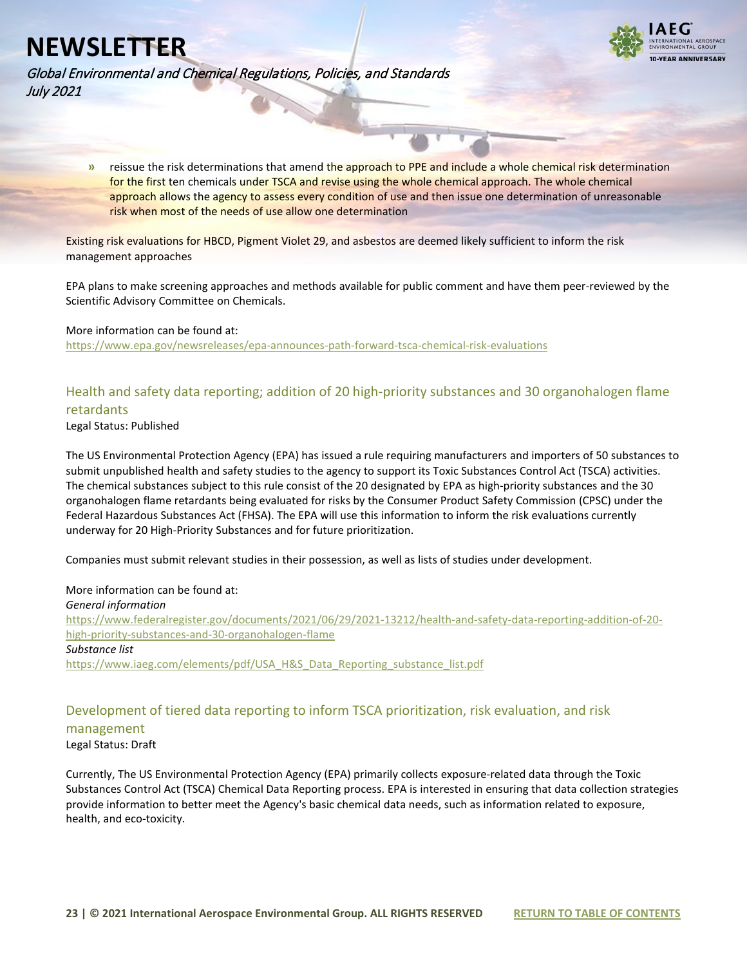

Global Environmental and Chemical Regulations, Policies, and Standards July 2021

> **»** reissue the risk determinations that amend the approach to PPE and include a whole chemical risk determination for the first ten chemicals under TSCA and revise using the whole chemical approach. The whole chemical approach allows the agency to assess every condition of use and then issue one determination of unreasonable risk when most of the needs of use allow one determination

Existing risk evaluations for HBCD, Pigment Violet 29, and asbestos are deemed likely sufficient to inform the risk management approaches

EPA plans to make screening approaches and methods available for public comment and have them peer-reviewed by the Scientific Advisory Committee on Chemicals.

#### More information can be found at:

<https://www.epa.gov/newsreleases/epa-announces-path-forward-tsca-chemical-risk-evaluations>

### <span id="page-22-0"></span>Health and safety data reporting; addition of 20 high-priority substances and 30 organohalogen flame retardants

Legal Status: Published

The US Environmental Protection Agency (EPA) has issued a rule requiring manufacturers and importers of 50 substances to submit unpublished health and safety studies to the agency to support its Toxic Substances Control Act (TSCA) activities. The chemical substances subject to this rule consist of the 20 designated by EPA as high-priority substances and the 30 organohalogen flame retardants being evaluated for risks by the Consumer Product Safety Commission (CPSC) under the Federal Hazardous Substances Act (FHSA). The EPA will use this information to inform the risk evaluations currently underway for 20 High-Priority Substances and for future prioritization.

Companies must submit relevant studies in their possession, as well as lists of studies under development.

#### More information can be found at:

*General information* [https://www.federalregister.gov/documents/2021/06/29/2021-13212/health-and-safety-data-reporting-addition-of-20](https://www.federalregister.gov/documents/2021/06/29/2021-13212/health-and-safety-data-reporting-addition-of-20-high-priority-substances-and-30-organohalogen-flame) [high-priority-substances-and-30-organohalogen-flame](https://www.federalregister.gov/documents/2021/06/29/2021-13212/health-and-safety-data-reporting-addition-of-20-high-priority-substances-and-30-organohalogen-flame) *Substance list* [https://www.iaeg.com/elements/pdf/USA\\_H&S\\_Data\\_Reporting\\_substance\\_list.pdf](https://www.iaeg.com/elements/pdf/USA_H&S_Data_Reporting_substance_list.pdf)

### <span id="page-22-1"></span>Development of tiered data reporting to inform TSCA prioritization, risk evaluation, and risk management

Legal Status: Draft

Currently, The US Environmental Protection Agency (EPA) primarily collects exposure-related data through the Toxic Substances Control Act (TSCA) Chemical Data Reporting process. EPA is interested in ensuring that data collection strategies provide information to better meet the Agency's basic chemical data needs, such as information related to exposure, health, and eco-toxicity.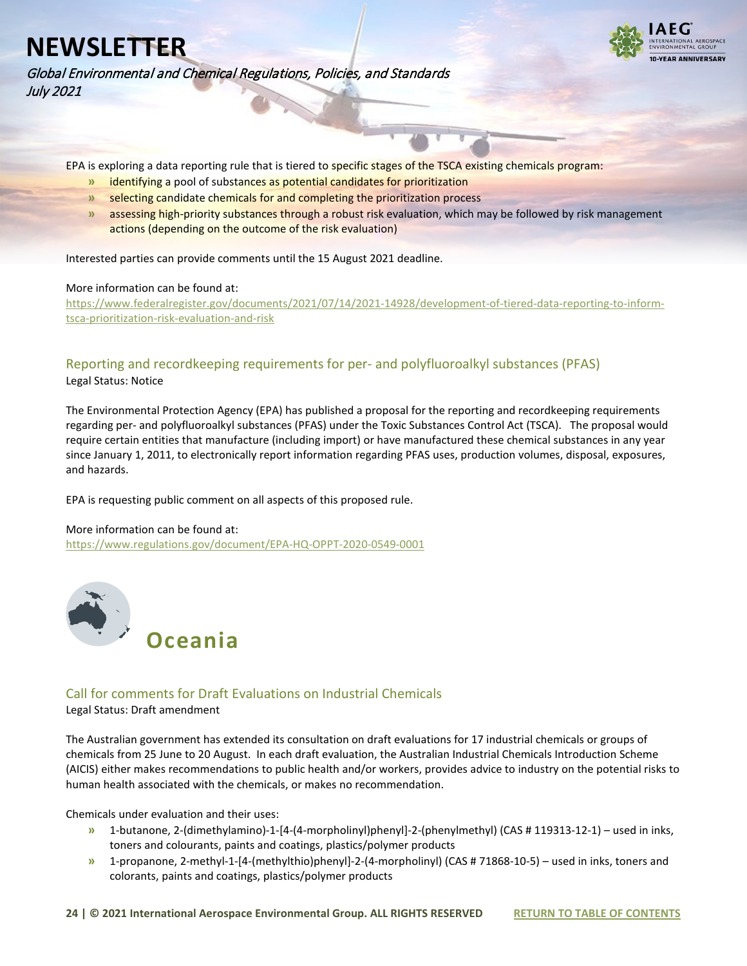

Global Environmental and Chemical Regulations, Policies, and Standards July 2021

EPA is exploring a data reporting rule that is tiered to specific stages of the TSCA existing chemicals program:

- **»** identifying a pool of substances as potential candidates for prioritization
- **»** selecting candidate chemicals for and completing the prioritization process
- **»** assessing high-priority substances through a robust risk evaluation, which may be followed by risk management actions (depending on the outcome of the risk evaluation)

Interested parties can provide comments until the 15 August 2021 deadline.

#### More information can be found at:

[https://www.federalregister.gov/documents/2021/07/14/2021-14928/development-of-tiered-data-reporting-to-inform](https://www.federalregister.gov/documents/2021/07/14/2021-14928/development-of-tiered-data-reporting-to-inform-tsca-prioritization-risk-evaluation-and-risk)[tsca-prioritization-risk-evaluation-and-risk](https://www.federalregister.gov/documents/2021/07/14/2021-14928/development-of-tiered-data-reporting-to-inform-tsca-prioritization-risk-evaluation-and-risk)

### <span id="page-23-0"></span>Reporting and recordkeeping requirements for per- and polyfluoroalkyl substances (PFAS) Legal Status: Notice

The Environmental Protection Agency (EPA) has published a proposal for the reporting and recordkeeping requirements regarding per- and polyfluoroalkyl substances (PFAS) under the Toxic Substances Control Act (TSCA). The proposal would require certain entities that manufacture (including import) or have manufactured these chemical substances in any year since January 1, 2011, to electronically report information regarding PFAS uses, production volumes, disposal, exposures, and hazards.

EPA is requesting public comment on all aspects of this proposed rule.

#### More information can be found at:

<https://www.regulations.gov/document/EPA-HQ-OPPT-2020-0549-0001>

<span id="page-23-1"></span>

### <span id="page-23-2"></span>Call for comments for Draft Evaluations on Industrial Chemicals

Legal Status: Draft amendment

The Australian government has extended its consultation on draft evaluations for 17 industrial chemicals or groups of chemicals from 25 June to 20 August. In each draft evaluation, the Australian Industrial Chemicals Introduction Scheme (AICIS) either makes recommendations to public health and/or workers, provides advice to industry on the potential risks to human health associated with the chemicals, or makes no recommendation.

Chemicals under evaluation and their uses:

- **»** 1-butanone, 2-(dimethylamino)-1-[4-(4-morpholinyl)phenyl]-2-(phenylmethyl) (CAS # 119313-12-1) used in inks, toners and colourants, paints and coatings, plastics/polymer products
- **»** 1-propanone, 2-methyl-1-[4-(methylthio)phenyl]-2-(4-morpholinyl) (CAS # 71868-10-5) used in inks, toners and colorants, paints and coatings, plastics/polymer products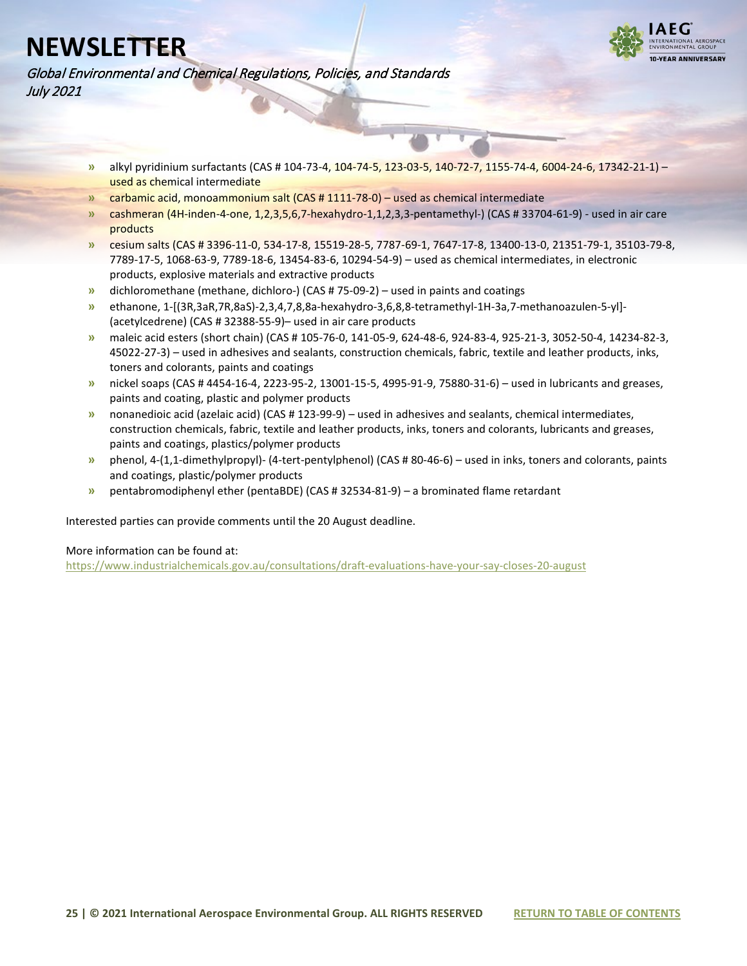

Global Environmental and Chemical Regulations, Policies, and Standards July 2021

- **»** alkyl pyridinium surfactants (CAS # 104-73-4, 104-74-5, 123-03-5, 140-72-7, 1155-74-4, 6004-24-6, 17342-21-1) used as chemical intermediate
- **»** carbamic acid, monoammonium salt (CAS # 1111-78-0) used as chemical intermediate
- **»** cashmeran (4H-inden-4-one, 1,2,3,5,6,7-hexahydro-1,1,2,3,3-pentamethyl-) (CAS # 33704-61-9) used in air care products
- **»** cesium salts (CAS # 3396-11-0, 534-17-8, 15519-28-5, 7787-69-1, 7647-17-8, 13400-13-0, 21351-79-1, 35103-79-8, 7789-17-5, 1068-63-9, 7789-18-6, 13454-83-6, 10294-54-9) – used as chemical intermediates, in electronic products, explosive materials and extractive products
- **»** dichloromethane (methane, dichloro-) (CAS # 75-09-2) used in paints and coatings
- **»** ethanone, 1-[(3R,3aR,7R,8aS)-2,3,4,7,8,8a-hexahydro-3,6,8,8-tetramethyl-1H-3a,7-methanoazulen-5-yl]- (acetylcedrene) (CAS # 32388-55-9)– used in air care products
- **»** maleic acid esters (short chain) (CAS # 105-76-0, 141-05-9, 624-48-6, 924-83-4, 925-21-3, 3052-50-4, 14234-82-3, 45022-27-3) – used in adhesives and sealants, construction chemicals, fabric, textile and leather products, inks, toners and colorants, paints and coatings
- **»** nickel soaps (CAS # 4454-16-4, 2223-95-2, 13001-15-5, 4995-91-9, 75880-31-6) used in lubricants and greases, paints and coating, plastic and polymer products
- **»** nonanedioic acid (azelaic acid) (CAS # 123-99-9) used in adhesives and sealants, chemical intermediates, construction chemicals, fabric, textile and leather products, inks, toners and colorants, lubricants and greases, paints and coatings, plastics/polymer products
- **»** phenol, 4-(1,1-dimethylpropyl)- (4-tert-pentylphenol) (CAS # 80-46-6) used in inks, toners and colorants, paints and coatings, plastic/polymer products
- **»** pentabromodiphenyl ether (pentaBDE) (CAS # 32534-81-9) a brominated flame retardant

Interested parties can provide comments until the 20 August deadline.

More information can be found at:

<https://www.industrialchemicals.gov.au/consultations/draft-evaluations-have-your-say-closes-20-august>